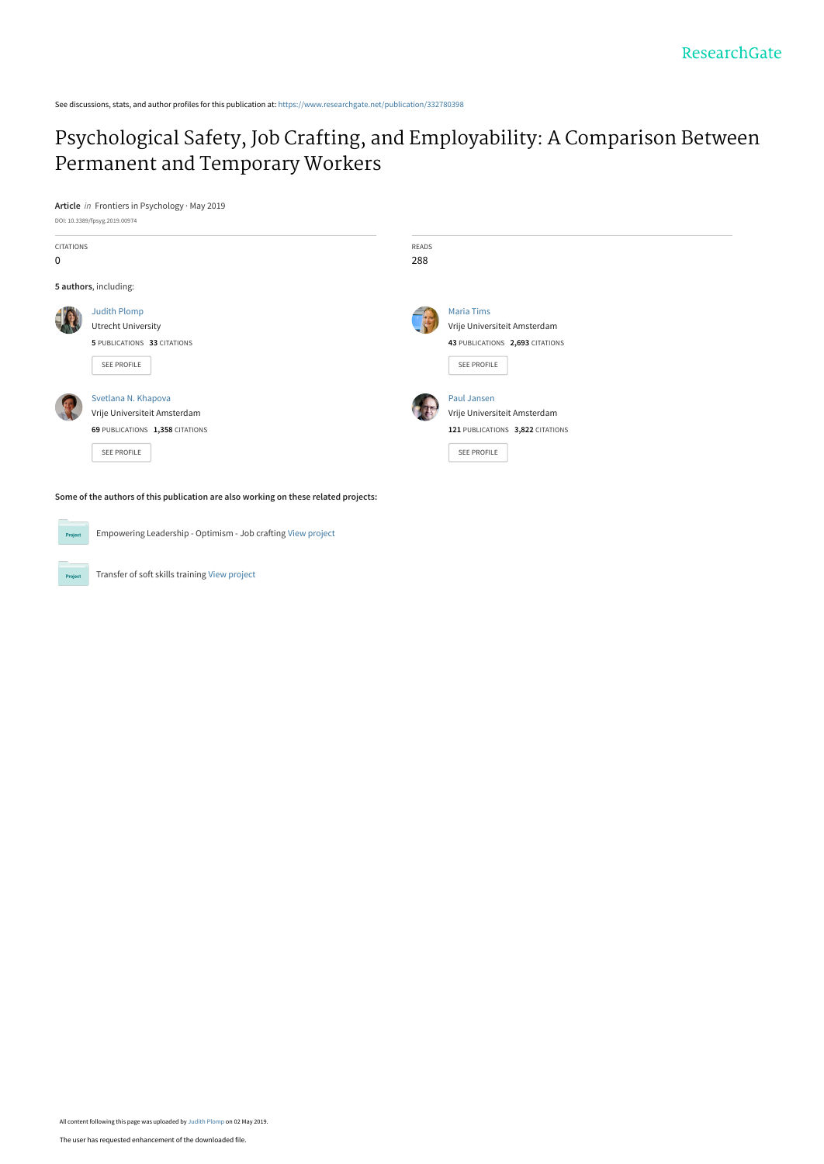See discussions, stats, and author profiles for this publication at: [https://www.researchgate.net/publication/332780398](https://www.researchgate.net/publication/332780398_Psychological_Safety_Job_Crafting_and_Employability_A_Comparison_Between_Permanent_and_Temporary_Workers?enrichId=rgreq-97e996e8abe3c2d23d643498df710212-XXX&enrichSource=Y292ZXJQYWdlOzMzMjc4MDM5ODtBUzo3NTQwNTg3NTUzMTM2NjVAMTU1Njc5MzAyNTEyOA%3D%3D&el=1_x_2&_esc=publicationCoverPdf)

## [Psychological Safety, Job Crafting, and Employability: A Comparison Between](https://www.researchgate.net/publication/332780398_Psychological_Safety_Job_Crafting_and_Employability_A_Comparison_Between_Permanent_and_Temporary_Workers?enrichId=rgreq-97e996e8abe3c2d23d643498df710212-XXX&enrichSource=Y292ZXJQYWdlOzMzMjc4MDM5ODtBUzo3NTQwNTg3NTUzMTM2NjVAMTU1Njc5MzAyNTEyOA%3D%3D&el=1_x_3&_esc=publicationCoverPdf) Permanent and Temporary Workers

**Article** in Frontiers in Psychology · May 2019



Empowering Leadership - Optimism - Job crafting [View project](https://www.researchgate.net/project/Empowering-Leadership-Optimism-Job-crafting?enrichId=rgreq-97e996e8abe3c2d23d643498df710212-XXX&enrichSource=Y292ZXJQYWdlOzMzMjc4MDM5ODtBUzo3NTQwNTg3NTUzMTM2NjVAMTU1Njc5MzAyNTEyOA%3D%3D&el=1_x_9&_esc=publicationCoverPdf)  $Pro$ 

Transfer of soft skills training [View project](https://www.researchgate.net/project/Transfer-of-soft-skills-training?enrichId=rgreq-97e996e8abe3c2d23d643498df710212-XXX&enrichSource=Y292ZXJQYWdlOzMzMjc4MDM5ODtBUzo3NTQwNTg3NTUzMTM2NjVAMTU1Njc5MzAyNTEyOA%3D%3D&el=1_x_9&_esc=publicationCoverPdf)

Project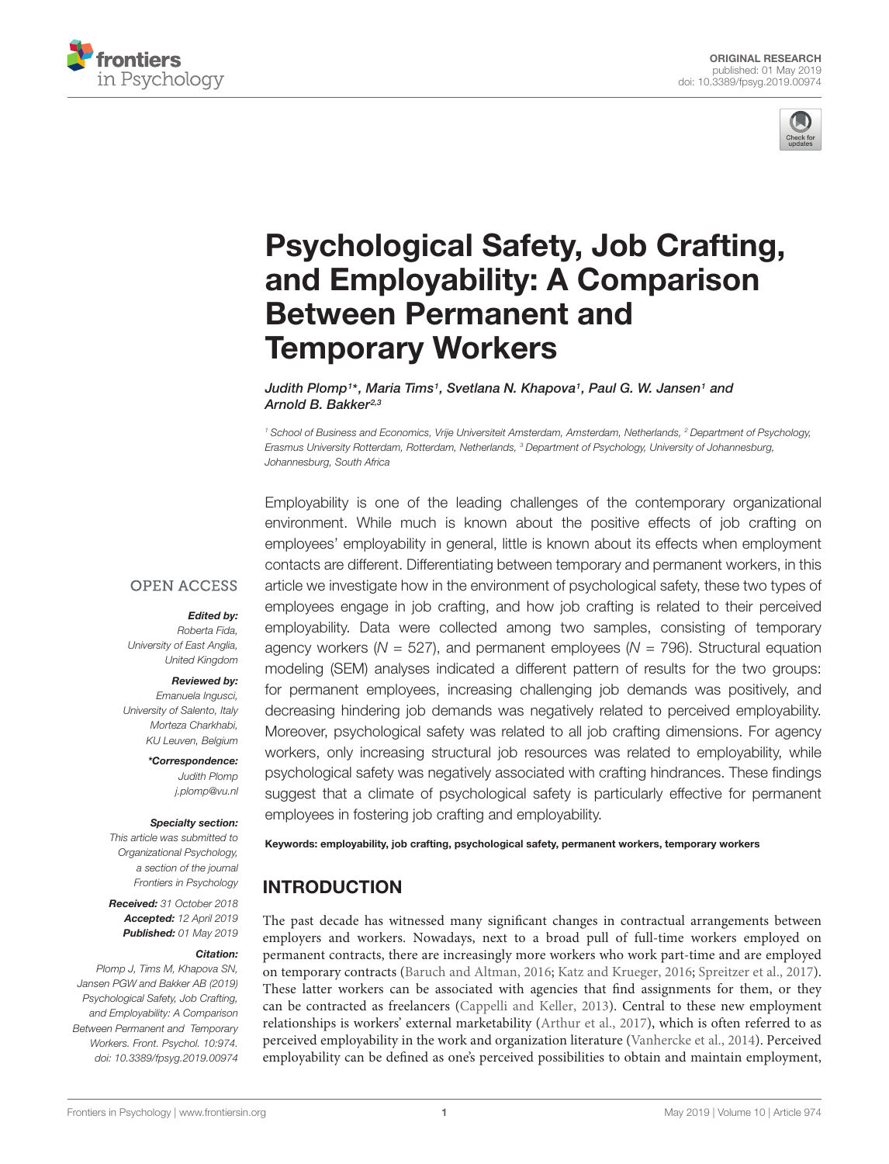



# [Psychological Safety, Job Crafting,](https://www.frontiersin.org/articles/10.3389/fpsyg.2019.00974/full) and Employability: A Comparison Between Permanent and Temporary Workers

[Judith Plomp](http://loop.frontiersin.org/people/629230/overview)1\*, [Maria Tims](http://loop.frontiersin.org/people/707026/overview)1, [Svetlana N. Khapova](http://loop.frontiersin.org/people/594511/overview)1, [Paul G. W. Jansen](http://loop.frontiersin.org/people/627993/overview)1 and Arnold B. Bakker<sup>2,3</sup>

<sup>1</sup> School of Business and Economics, Vrije Universiteit Amsterdam, Amsterdam, Netherlands, <sup>2</sup> Department of Psychology, Erasmus University Rotterdam, Rotterdam, Netherlands, <sup>3</sup> Department of Psychology, University of Johannesburg, Johannesburg, South Africa

**OPEN ACCESS** 

#### Edited by:

Roberta Fida, University of East Anglia, United Kingdom

#### Reviewed by:

Emanuela Ingusci, University of Salento, Italy Morteza Charkhabi, KU Leuven, Belgium

> \*Correspondence: Judith Plomp j.plomp@vu.nl

#### Specialty section:

This article was submitted to Organizational Psychology, a section of the journal Frontiers in Psychology

Received: 31 October 2018 Accepted: 12 April 2019 Published: 01 May 2019

#### Citation:

Plomp J, Tims M, Khapova SN, Jansen PGW and Bakker AB (2019) Psychological Safety, Job Crafting, and Employability: A Comparison Between Permanent and Temporary Workers. Front. Psychol. 10:974. doi: [10.3389/fpsyg.2019.00974](https://doi.org/10.3389/fpsyg.2019.00974) Employability is one of the leading challenges of the contemporary organizational environment. While much is known about the positive effects of job crafting on employees' employability in general, little is known about its effects when employment contacts are different. Differentiating between temporary and permanent workers, in this article we investigate how in the environment of psychological safety, these two types of employees engage in job crafting, and how job crafting is related to their perceived employability. Data were collected among two samples, consisting of temporary agency workers ( $N = 527$ ), and permanent employees ( $N = 796$ ). Structural equation modeling (SEM) analyses indicated a different pattern of results for the two groups: for permanent employees, increasing challenging job demands was positively, and decreasing hindering job demands was negatively related to perceived employability. Moreover, psychological safety was related to all job crafting dimensions. For agency workers, only increasing structural job resources was related to employability, while psychological safety was negatively associated with crafting hindrances. These findings suggest that a climate of psychological safety is particularly effective for permanent employees in fostering job crafting and employability.

Keywords: employability, job crafting, psychological safety, permanent workers, temporary workers

#### INTRODUCTION

The past decade has witnessed many significant changes in contractual arrangements between employers and workers. Nowadays, next to a broad pull of full-time workers employed on permanent contracts, there are increasingly more workers who work part-time and are employed on temporary contracts [\(Baruch and Altman,](#page-12-0) [2016;](#page-12-0) [Katz and Krueger,](#page-12-1) [2016;](#page-12-1) [Spreitzer et al.,](#page-13-0) [2017\)](#page-13-0). These latter workers can be associated with agencies that find assignments for them, or they can be contracted as freelancers [\(Cappelli and Keller,](#page-12-2) [2013\)](#page-12-2). Central to these new employment relationships is workers' external marketability [\(Arthur et al.,](#page-12-3) [2017\)](#page-12-3), which is often referred to as perceived employability in the work and organization literature [\(Vanhercke et al.,](#page-13-1) [2014\)](#page-13-1). Perceived employability can be defined as one's perceived possibilities to obtain and maintain employment,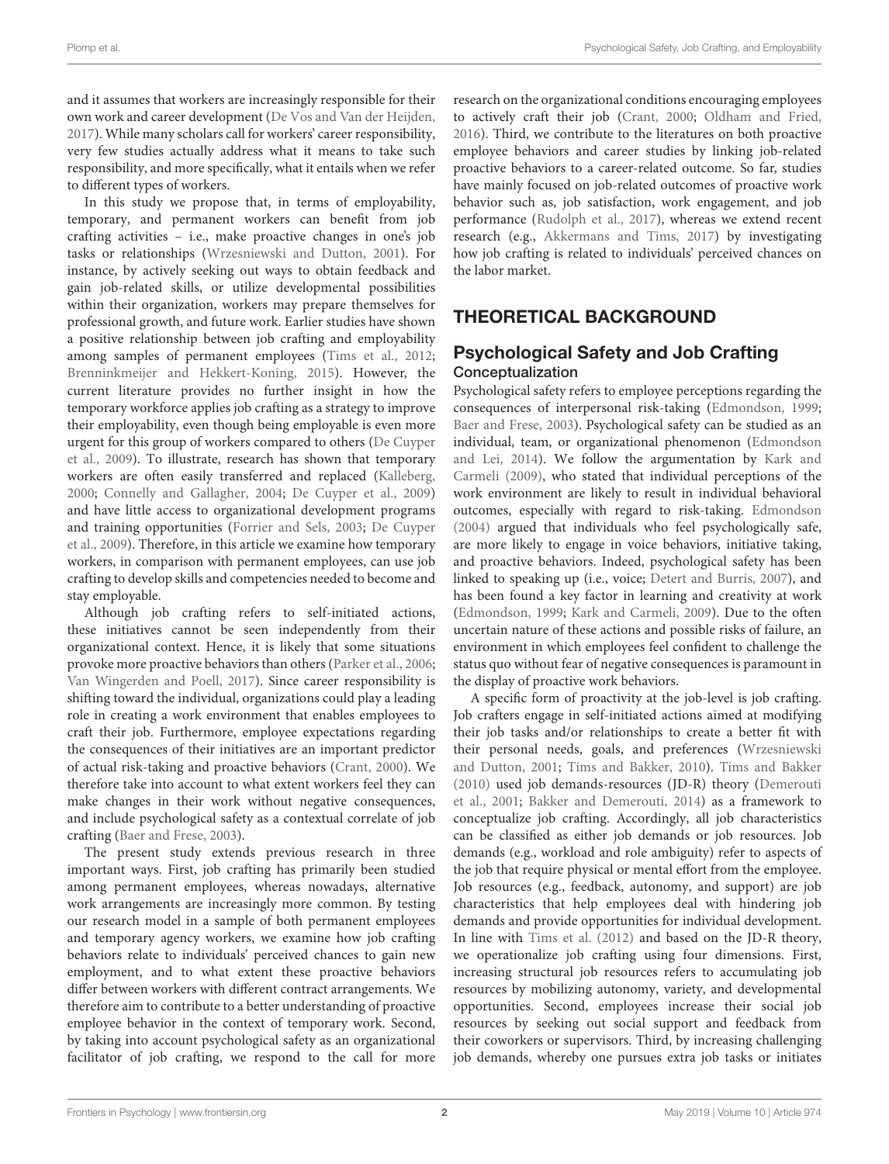and it assumes that workers are increasingly responsible for their own work and career development [\(De Vos and Van der Heijden,](#page-12-4) [2017\)](#page-12-4). While many scholars call for workers' career responsibility, very few studies actually address what it means to take such responsibility, and more specifically, what it entails when we refer to different types of workers.

In this study we propose that, in terms of employability, temporary, and permanent workers can benefit from job crafting activities – i.e., make proactive changes in one's job tasks or relationships [\(Wrzesniewski and Dutton,](#page-13-2) [2001\)](#page-13-2). For instance, by actively seeking out ways to obtain feedback and gain job-related skills, or utilize developmental possibilities within their organization, workers may prepare themselves for professional growth, and future work. Earlier studies have shown a positive relationship between job crafting and employability among samples of permanent employees [\(Tims et al.,](#page-13-3) [2012;](#page-13-3) [Brenninkmeijer and Hekkert-Koning,](#page-12-5) [2015\)](#page-12-5). However, the current literature provides no further insight in how the temporary workforce applies job crafting as a strategy to improve their employability, even though being employable is even more urgent for this group of workers compared to others [\(De Cuyper](#page-12-6) [et al.,](#page-12-6) [2009\)](#page-12-6). To illustrate, research has shown that temporary workers are often easily transferred and replaced [\(Kalleberg,](#page-12-7) [2000;](#page-12-7) [Connelly and Gallagher,](#page-12-8) [2004;](#page-12-8) [De Cuyper et al.,](#page-12-6) [2009\)](#page-12-6) and have little access to organizational development programs and training opportunities [\(Forrier and Sels,](#page-12-9) [2003;](#page-12-9) [De Cuyper](#page-12-6) [et al.,](#page-12-6) [2009\)](#page-12-6). Therefore, in this article we examine how temporary workers, in comparison with permanent employees, can use job crafting to develop skills and competencies needed to become and stay employable.

Although job crafting refers to self-initiated actions, these initiatives cannot be seen independently from their organizational context. Hence, it is likely that some situations provoke more proactive behaviors than others [\(Parker et al.,](#page-13-4) [2006;](#page-13-4) [Van Wingerden and Poell,](#page-13-5) [2017\)](#page-13-5). Since career responsibility is shifting toward the individual, organizations could play a leading role in creating a work environment that enables employees to craft their job. Furthermore, employee expectations regarding the consequences of their initiatives are an important predictor of actual risk-taking and proactive behaviors [\(Crant,](#page-12-10) [2000\)](#page-12-10). We therefore take into account to what extent workers feel they can make changes in their work without negative consequences, and include psychological safety as a contextual correlate of job crafting [\(Baer and Frese,](#page-12-11) [2003\)](#page-12-11).

The present study extends previous research in three important ways. First, job crafting has primarily been studied among permanent employees, whereas nowadays, alternative work arrangements are increasingly more common. By testing our research model in a sample of both permanent employees and temporary agency workers, we examine how job crafting behaviors relate to individuals' perceived chances to gain new employment, and to what extent these proactive behaviors differ between workers with different contract arrangements. We therefore aim to contribute to a better understanding of proactive employee behavior in the context of temporary work. Second, by taking into account psychological safety as an organizational facilitator of job crafting, we respond to the call for more research on the organizational conditions encouraging employees to actively craft their job [\(Crant,](#page-12-10) [2000;](#page-12-10) [Oldham and Fried,](#page-13-6) [2016\)](#page-13-6). Third, we contribute to the literatures on both proactive employee behaviors and career studies by linking job-related proactive behaviors to a career-related outcome. So far, studies have mainly focused on job-related outcomes of proactive work behavior such as, job satisfaction, work engagement, and job performance [\(Rudolph et al.,](#page-13-7) [2017\)](#page-13-7), whereas we extend recent research (e.g., [Akkermans and Tims,](#page-12-12) [2017\)](#page-12-12) by investigating how job crafting is related to individuals' perceived chances on the labor market.

## THEORETICAL BACKGROUND

#### Psychological Safety and Job Crafting Conceptualization

Psychological safety refers to employee perceptions regarding the consequences of interpersonal risk-taking [\(Edmondson,](#page-12-13) [1999;](#page-12-13) [Baer and Frese,](#page-12-11) [2003\)](#page-12-11). Psychological safety can be studied as an individual, team, or organizational phenomenon [\(Edmondson](#page-12-14) [and Lei,](#page-12-14) [2014\)](#page-12-14). We follow the argumentation by [Kark and](#page-12-15) [Carmeli](#page-12-15) [\(2009\)](#page-12-15), who stated that individual perceptions of the work environment are likely to result in individual behavioral outcomes, especially with regard to risk-taking. [Edmondson](#page-12-16) [\(2004\)](#page-12-16) argued that individuals who feel psychologically safe, are more likely to engage in voice behaviors, initiative taking, and proactive behaviors. Indeed, psychological safety has been linked to speaking up (i.e., voice; [Detert and Burris,](#page-12-17) [2007\)](#page-12-17), and has been found a key factor in learning and creativity at work [\(Edmondson,](#page-12-13) [1999;](#page-12-13) [Kark and Carmeli,](#page-12-15) [2009\)](#page-12-15). Due to the often uncertain nature of these actions and possible risks of failure, an environment in which employees feel confident to challenge the status quo without fear of negative consequences is paramount in the display of proactive work behaviors.

A specific form of proactivity at the job-level is job crafting. Job crafters engage in self-initiated actions aimed at modifying their job tasks and/or relationships to create a better fit with their personal needs, goals, and preferences [\(Wrzesniewski](#page-13-2) [and Dutton,](#page-13-2) [2001;](#page-13-2) [Tims and Bakker,](#page-13-8) [2010\)](#page-13-8). [Tims and Bakker](#page-13-8) [\(2010\)](#page-13-8) used job demands-resources (JD-R) theory [\(Demerouti](#page-12-18) [et al.,](#page-12-18) [2001;](#page-12-18) [Bakker and Demerouti,](#page-12-19) [2014\)](#page-12-19) as a framework to conceptualize job crafting. Accordingly, all job characteristics can be classified as either job demands or job resources. Job demands (e.g., workload and role ambiguity) refer to aspects of the job that require physical or mental effort from the employee. Job resources (e.g., feedback, autonomy, and support) are job characteristics that help employees deal with hindering job demands and provide opportunities for individual development. In line with [Tims et al.](#page-13-3) [\(2012\)](#page-13-3) and based on the JD-R theory, we operationalize job crafting using four dimensions. First, increasing structural job resources refers to accumulating job resources by mobilizing autonomy, variety, and developmental opportunities. Second, employees increase their social job resources by seeking out social support and feedback from their coworkers or supervisors. Third, by increasing challenging job demands, whereby one pursues extra job tasks or initiates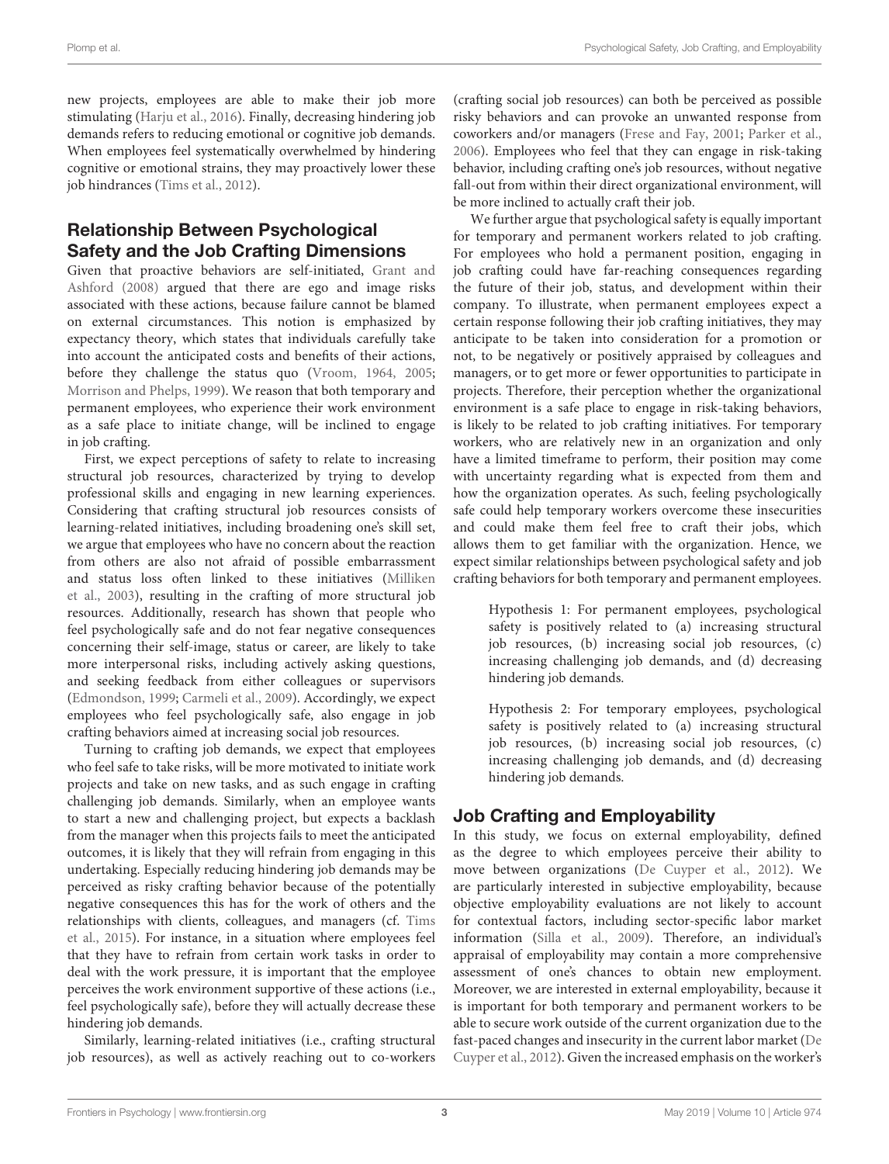new projects, employees are able to make their job more stimulating [\(Harju et al.,](#page-12-20) [2016\)](#page-12-20). Finally, decreasing hindering job demands refers to reducing emotional or cognitive job demands. When employees feel systematically overwhelmed by hindering cognitive or emotional strains, they may proactively lower these job hindrances [\(Tims et al.,](#page-13-3) [2012\)](#page-13-3).

## Relationship Between Psychological Safety and the Job Crafting Dimensions

Given that proactive behaviors are self-initiated, [Grant and](#page-12-21) [Ashford](#page-12-21) [\(2008\)](#page-12-21) argued that there are ego and image risks associated with these actions, because failure cannot be blamed on external circumstances. This notion is emphasized by expectancy theory, which states that individuals carefully take into account the anticipated costs and benefits of their actions, before they challenge the status quo [\(Vroom,](#page-13-9) [1964,](#page-13-9) [2005;](#page-13-10) [Morrison and Phelps,](#page-12-22) [1999\)](#page-12-22). We reason that both temporary and permanent employees, who experience their work environment as a safe place to initiate change, will be inclined to engage in job crafting.

First, we expect perceptions of safety to relate to increasing structural job resources, characterized by trying to develop professional skills and engaging in new learning experiences. Considering that crafting structural job resources consists of learning-related initiatives, including broadening one's skill set, we argue that employees who have no concern about the reaction from others are also not afraid of possible embarrassment and status loss often linked to these initiatives [\(Milliken](#page-12-23) [et al.,](#page-12-23) [2003\)](#page-12-23), resulting in the crafting of more structural job resources. Additionally, research has shown that people who feel psychologically safe and do not fear negative consequences concerning their self-image, status or career, are likely to take more interpersonal risks, including actively asking questions, and seeking feedback from either colleagues or supervisors [\(Edmondson,](#page-12-13) [1999;](#page-12-13) [Carmeli et al.,](#page-12-24) [2009\)](#page-12-24). Accordingly, we expect employees who feel psychologically safe, also engage in job crafting behaviors aimed at increasing social job resources.

Turning to crafting job demands, we expect that employees who feel safe to take risks, will be more motivated to initiate work projects and take on new tasks, and as such engage in crafting challenging job demands. Similarly, when an employee wants to start a new and challenging project, but expects a backlash from the manager when this projects fails to meet the anticipated outcomes, it is likely that they will refrain from engaging in this undertaking. Especially reducing hindering job demands may be perceived as risky crafting behavior because of the potentially negative consequences this has for the work of others and the relationships with clients, colleagues, and managers (cf. [Tims](#page-13-11) [et al.,](#page-13-11) [2015\)](#page-13-11). For instance, in a situation where employees feel that they have to refrain from certain work tasks in order to deal with the work pressure, it is important that the employee perceives the work environment supportive of these actions (i.e., feel psychologically safe), before they will actually decrease these hindering job demands.

Similarly, learning-related initiatives (i.e., crafting structural job resources), as well as actively reaching out to co-workers (crafting social job resources) can both be perceived as possible risky behaviors and can provoke an unwanted response from coworkers and/or managers [\(Frese and Fay,](#page-12-25) [2001;](#page-12-25) [Parker et al.,](#page-13-4) [2006\)](#page-13-4). Employees who feel that they can engage in risk-taking behavior, including crafting one's job resources, without negative fall-out from within their direct organizational environment, will be more inclined to actually craft their job.

We further argue that psychological safety is equally important for temporary and permanent workers related to job crafting. For employees who hold a permanent position, engaging in job crafting could have far-reaching consequences regarding the future of their job, status, and development within their company. To illustrate, when permanent employees expect a certain response following their job crafting initiatives, they may anticipate to be taken into consideration for a promotion or not, to be negatively or positively appraised by colleagues and managers, or to get more or fewer opportunities to participate in projects. Therefore, their perception whether the organizational environment is a safe place to engage in risk-taking behaviors, is likely to be related to job crafting initiatives. For temporary workers, who are relatively new in an organization and only have a limited timeframe to perform, their position may come with uncertainty regarding what is expected from them and how the organization operates. As such, feeling psychologically safe could help temporary workers overcome these insecurities and could make them feel free to craft their jobs, which allows them to get familiar with the organization. Hence, we expect similar relationships between psychological safety and job crafting behaviors for both temporary and permanent employees.

Hypothesis 1: For permanent employees, psychological safety is positively related to (a) increasing structural job resources, (b) increasing social job resources, (c) increasing challenging job demands, and (d) decreasing hindering job demands.

Hypothesis 2: For temporary employees, psychological safety is positively related to (a) increasing structural job resources, (b) increasing social job resources, (c) increasing challenging job demands, and (d) decreasing hindering job demands.

## Job Crafting and Employability

In this study, we focus on external employability, defined as the degree to which employees perceive their ability to move between organizations [\(De Cuyper et al.,](#page-12-26) [2012\)](#page-12-26). We are particularly interested in subjective employability, because objective employability evaluations are not likely to account for contextual factors, including sector-specific labor market information [\(Silla et al.,](#page-13-12) [2009\)](#page-13-12). Therefore, an individual's appraisal of employability may contain a more comprehensive assessment of one's chances to obtain new employment. Moreover, we are interested in external employability, because it is important for both temporary and permanent workers to be able to secure work outside of the current organization due to the fast-paced changes and insecurity in the current labor market [\(De](#page-12-26) [Cuyper et al.,](#page-12-26) [2012\)](#page-12-26). Given the increased emphasis on the worker's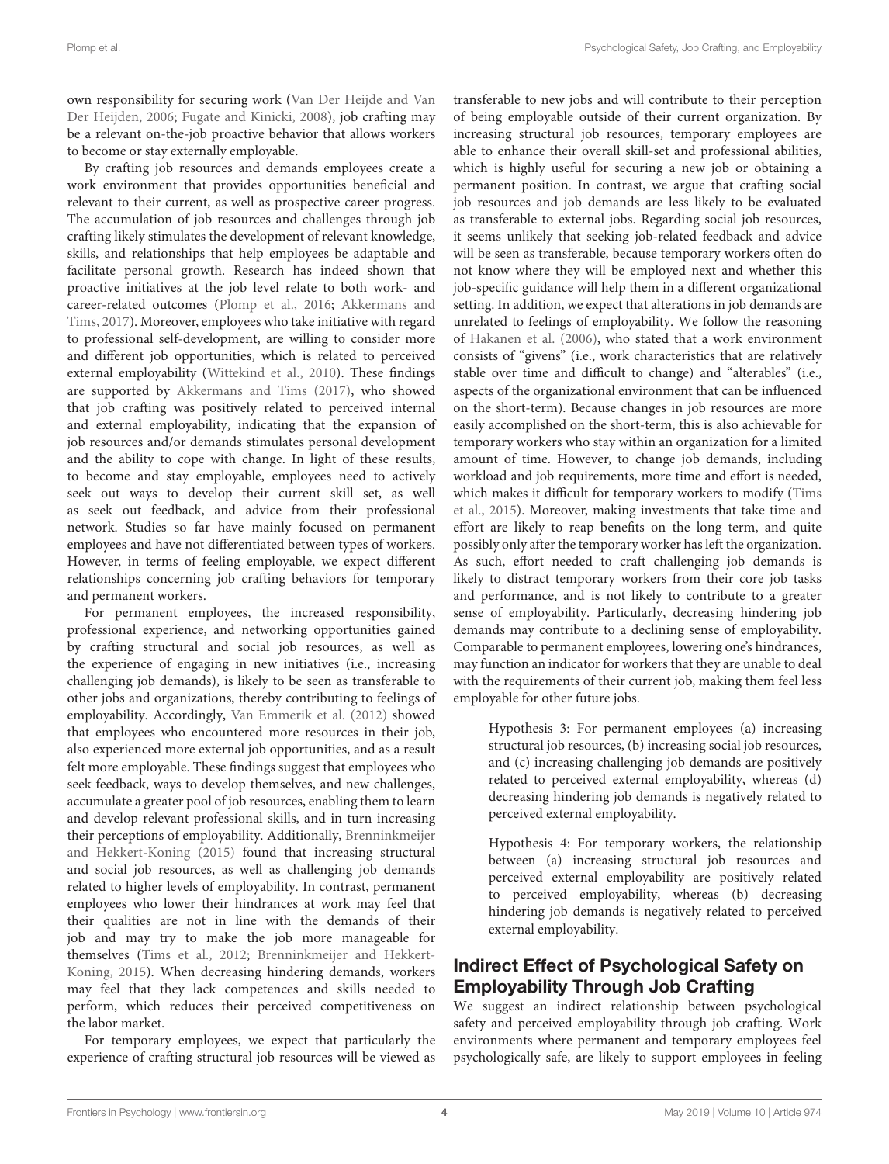own responsibility for securing work [\(Van Der Heijde and Van](#page-13-13) [Der Heijden,](#page-13-13) [2006;](#page-13-13) [Fugate and Kinicki,](#page-12-27) [2008\)](#page-12-27), job crafting may be a relevant on-the-job proactive behavior that allows workers to become or stay externally employable.

By crafting job resources and demands employees create a work environment that provides opportunities beneficial and relevant to their current, as well as prospective career progress. The accumulation of job resources and challenges through job crafting likely stimulates the development of relevant knowledge, skills, and relationships that help employees be adaptable and facilitate personal growth. Research has indeed shown that proactive initiatives at the job level relate to both work- and career-related outcomes [\(Plomp et al.,](#page-13-14) [2016;](#page-13-14) [Akkermans and](#page-12-12) [Tims,](#page-12-12) [2017\)](#page-12-12). Moreover, employees who take initiative with regard to professional self-development, are willing to consider more and different job opportunities, which is related to perceived external employability [\(Wittekind et al.,](#page-13-15) [2010\)](#page-13-15). These findings are supported by [Akkermans and Tims](#page-12-12) [\(2017\)](#page-12-12), who showed that job crafting was positively related to perceived internal and external employability, indicating that the expansion of job resources and/or demands stimulates personal development and the ability to cope with change. In light of these results, to become and stay employable, employees need to actively seek out ways to develop their current skill set, as well as seek out feedback, and advice from their professional network. Studies so far have mainly focused on permanent employees and have not differentiated between types of workers. However, in terms of feeling employable, we expect different relationships concerning job crafting behaviors for temporary and permanent workers.

For permanent employees, the increased responsibility, professional experience, and networking opportunities gained by crafting structural and social job resources, as well as the experience of engaging in new initiatives (i.e., increasing challenging job demands), is likely to be seen as transferable to other jobs and organizations, thereby contributing to feelings of employability. Accordingly, [Van Emmerik et al.](#page-13-16) [\(2012\)](#page-13-16) showed that employees who encountered more resources in their job, also experienced more external job opportunities, and as a result felt more employable. These findings suggest that employees who seek feedback, ways to develop themselves, and new challenges, accumulate a greater pool of job resources, enabling them to learn and develop relevant professional skills, and in turn increasing their perceptions of employability. Additionally, [Brenninkmeijer](#page-12-5) [and Hekkert-Koning](#page-12-5) [\(2015\)](#page-12-5) found that increasing structural and social job resources, as well as challenging job demands related to higher levels of employability. In contrast, permanent employees who lower their hindrances at work may feel that their qualities are not in line with the demands of their job and may try to make the job more manageable for themselves [\(Tims et al.,](#page-13-3) [2012;](#page-13-3) [Brenninkmeijer and Hekkert-](#page-12-5)[Koning,](#page-12-5) [2015\)](#page-12-5). When decreasing hindering demands, workers may feel that they lack competences and skills needed to perform, which reduces their perceived competitiveness on the labor market.

For temporary employees, we expect that particularly the experience of crafting structural job resources will be viewed as transferable to new jobs and will contribute to their perception of being employable outside of their current organization. By increasing structural job resources, temporary employees are able to enhance their overall skill-set and professional abilities, which is highly useful for securing a new job or obtaining a permanent position. In contrast, we argue that crafting social job resources and job demands are less likely to be evaluated as transferable to external jobs. Regarding social job resources, it seems unlikely that seeking job-related feedback and advice will be seen as transferable, because temporary workers often do not know where they will be employed next and whether this job-specific guidance will help them in a different organizational setting. In addition, we expect that alterations in job demands are unrelated to feelings of employability. We follow the reasoning of [Hakanen et al.](#page-12-28) [\(2006\)](#page-12-28), who stated that a work environment consists of "givens" (i.e., work characteristics that are relatively stable over time and difficult to change) and "alterables" (i.e., aspects of the organizational environment that can be influenced on the short-term). Because changes in job resources are more easily accomplished on the short-term, this is also achievable for temporary workers who stay within an organization for a limited amount of time. However, to change job demands, including workload and job requirements, more time and effort is needed, which makes it difficult for temporary workers to modify [\(Tims](#page-13-11) [et al.,](#page-13-11) [2015\)](#page-13-11). Moreover, making investments that take time and effort are likely to reap benefits on the long term, and quite possibly only after the temporary worker has left the organization. As such, effort needed to craft challenging job demands is likely to distract temporary workers from their core job tasks and performance, and is not likely to contribute to a greater sense of employability. Particularly, decreasing hindering job demands may contribute to a declining sense of employability. Comparable to permanent employees, lowering one's hindrances, may function an indicator for workers that they are unable to deal with the requirements of their current job, making them feel less employable for other future jobs.

Hypothesis 3: For permanent employees (a) increasing structural job resources, (b) increasing social job resources, and (c) increasing challenging job demands are positively related to perceived external employability, whereas (d) decreasing hindering job demands is negatively related to perceived external employability.

Hypothesis 4: For temporary workers, the relationship between (a) increasing structural job resources and perceived external employability are positively related to perceived employability, whereas (b) decreasing hindering job demands is negatively related to perceived external employability.

#### Indirect Effect of Psychological Safety on Employability Through Job Crafting

We suggest an indirect relationship between psychological safety and perceived employability through job crafting. Work environments where permanent and temporary employees feel psychologically safe, are likely to support employees in feeling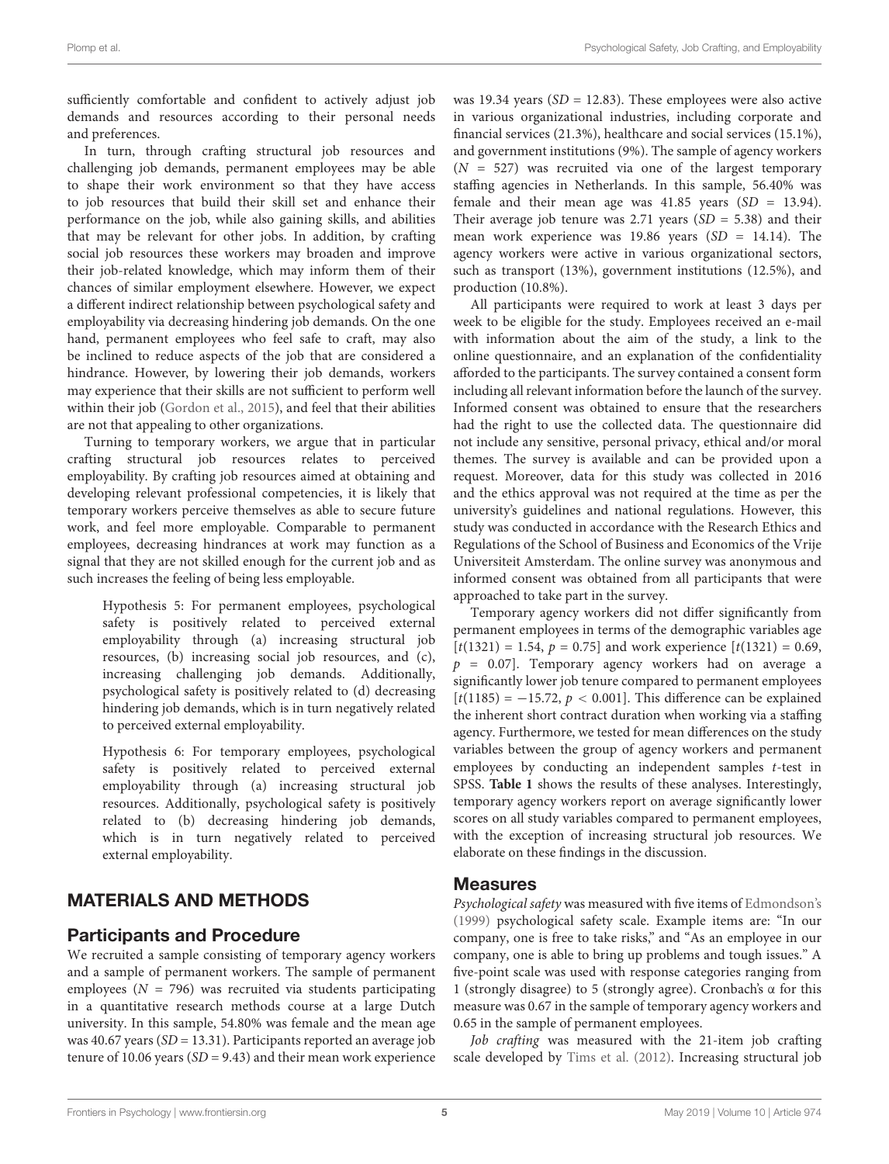sufficiently comfortable and confident to actively adjust job demands and resources according to their personal needs and preferences.

In turn, through crafting structural job resources and challenging job demands, permanent employees may be able to shape their work environment so that they have access to job resources that build their skill set and enhance their performance on the job, while also gaining skills, and abilities that may be relevant for other jobs. In addition, by crafting social job resources these workers may broaden and improve their job-related knowledge, which may inform them of their chances of similar employment elsewhere. However, we expect a different indirect relationship between psychological safety and employability via decreasing hindering job demands. On the one hand, permanent employees who feel safe to craft, may also be inclined to reduce aspects of the job that are considered a hindrance. However, by lowering their job demands, workers may experience that their skills are not sufficient to perform well within their job [\(Gordon et al.,](#page-12-29) [2015\)](#page-12-29), and feel that their abilities are not that appealing to other organizations.

Turning to temporary workers, we argue that in particular crafting structural job resources relates to perceived employability. By crafting job resources aimed at obtaining and developing relevant professional competencies, it is likely that temporary workers perceive themselves as able to secure future work, and feel more employable. Comparable to permanent employees, decreasing hindrances at work may function as a signal that they are not skilled enough for the current job and as such increases the feeling of being less employable.

Hypothesis 5: For permanent employees, psychological safety is positively related to perceived external employability through (a) increasing structural job resources, (b) increasing social job resources, and (c), increasing challenging job demands. Additionally, psychological safety is positively related to (d) decreasing hindering job demands, which is in turn negatively related to perceived external employability.

Hypothesis 6: For temporary employees, psychological safety is positively related to perceived external employability through (a) increasing structural job resources. Additionally, psychological safety is positively related to (b) decreasing hindering job demands, which is in turn negatively related to perceived external employability.

## MATERIALS AND METHODS

#### Participants and Procedure

We recruited a sample consisting of temporary agency workers and a sample of permanent workers. The sample of permanent employees ( $N = 796$ ) was recruited via students participating in a quantitative research methods course at a large Dutch university. In this sample, 54.80% was female and the mean age was 40.67 years ( $SD = 13.31$ ). Participants reported an average job tenure of 10.06 years ( $SD = 9.43$ ) and their mean work experience was 19.34 years ( $SD = 12.83$ ). These employees were also active in various organizational industries, including corporate and financial services (21.3%), healthcare and social services (15.1%), and government institutions (9%). The sample of agency workers  $(N = 527)$  was recruited via one of the largest temporary staffing agencies in Netherlands. In this sample, 56.40% was female and their mean age was  $41.85$  years (SD = 13.94). Their average job tenure was 2.71 years  $(SD = 5.38)$  and their mean work experience was 19.86 years  $(SD = 14.14)$ . The agency workers were active in various organizational sectors, such as transport (13%), government institutions (12.5%), and production (10.8%).

All participants were required to work at least 3 days per week to be eligible for the study. Employees received an e-mail with information about the aim of the study, a link to the online questionnaire, and an explanation of the confidentiality afforded to the participants. The survey contained a consent form including all relevant information before the launch of the survey. Informed consent was obtained to ensure that the researchers had the right to use the collected data. The questionnaire did not include any sensitive, personal privacy, ethical and/or moral themes. The survey is available and can be provided upon a request. Moreover, data for this study was collected in 2016 and the ethics approval was not required at the time as per the university's guidelines and national regulations. However, this study was conducted in accordance with the Research Ethics and Regulations of the School of Business and Economics of the Vrije Universiteit Amsterdam. The online survey was anonymous and informed consent was obtained from all participants that were approached to take part in the survey.

Temporary agency workers did not differ significantly from permanent employees in terms of the demographic variables age  $[t(1321) = 1.54, p = 0.75]$  and work experience  $[t(1321) = 0.69]$ ,  $p = 0.07$ ]. Temporary agency workers had on average a significantly lower job tenure compared to permanent employees  $[t(1185) = -15.72, p < 0.001]$ . This difference can be explained the inherent short contract duration when working via a staffing agency. Furthermore, we tested for mean differences on the study variables between the group of agency workers and permanent employees by conducting an independent samples t-test in SPSS. **[Table 1](#page-6-0)** shows the results of these analyses. Interestingly, temporary agency workers report on average significantly lower scores on all study variables compared to permanent employees, with the exception of increasing structural job resources. We elaborate on these findings in the discussion.

#### Measures

Psychological safety was measured with five items of [Edmondson's](#page-12-13) [\(1999\)](#page-12-13) psychological safety scale. Example items are: "In our company, one is free to take risks," and "As an employee in our company, one is able to bring up problems and tough issues." A five-point scale was used with response categories ranging from 1 (strongly disagree) to 5 (strongly agree). Cronbach's α for this measure was 0.67 in the sample of temporary agency workers and 0.65 in the sample of permanent employees.

Job crafting was measured with the 21-item job crafting scale developed by [Tims et al.](#page-13-3) [\(2012\)](#page-13-3). Increasing structural job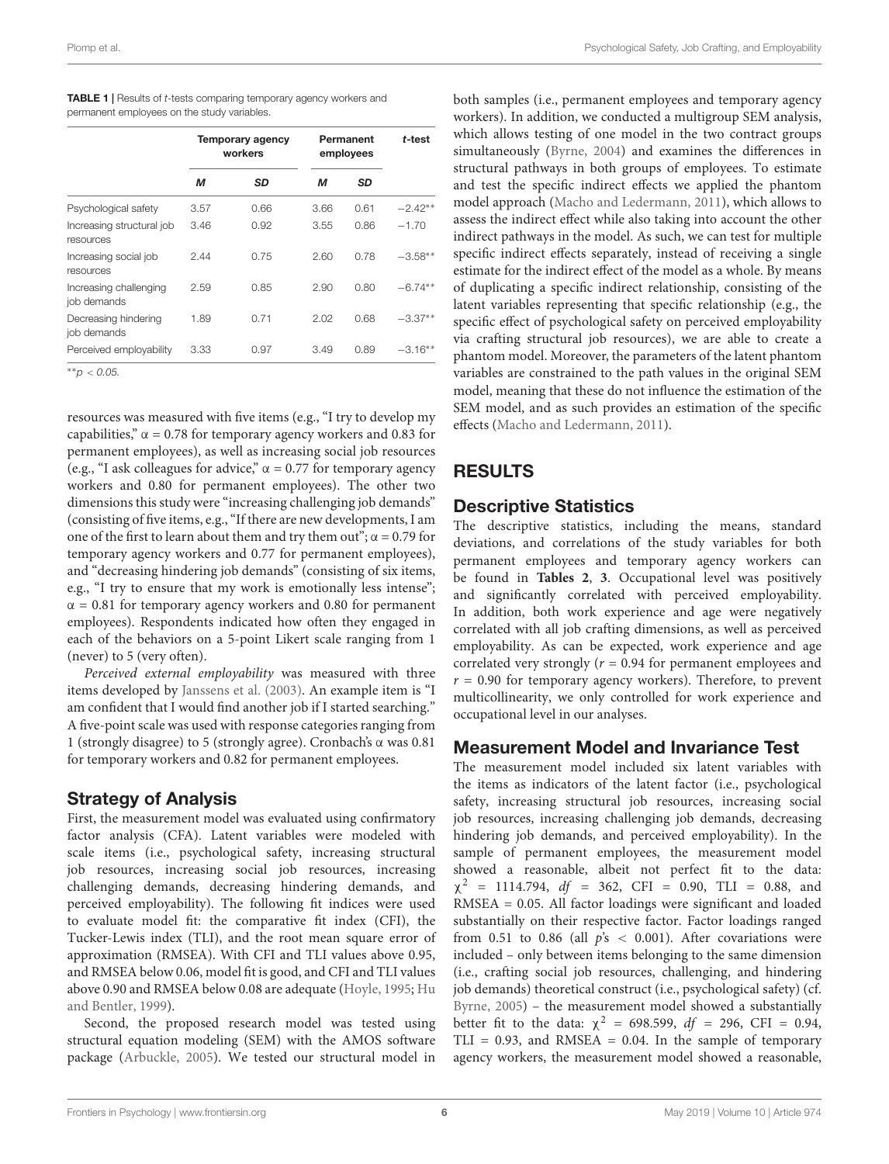| permanent employees on the study variables. |      |                                    |                        |           |           |  |  |  |  |  |
|---------------------------------------------|------|------------------------------------|------------------------|-----------|-----------|--|--|--|--|--|
|                                             |      | <b>Temporary agency</b><br>workers | Permanent<br>employees | t-test    |           |  |  |  |  |  |
|                                             | М    | SD                                 | М                      | <b>SD</b> |           |  |  |  |  |  |
| Psychological safety                        | 3.57 | 0.66                               | 3.66                   | 0.61      | $-2.42**$ |  |  |  |  |  |
| Increasing structural job<br>resources      | 3.46 | 0.92                               | 3.55                   | 0.86      | $-1.70$   |  |  |  |  |  |
| Increasing social job<br>resources          | 2.44 | 0.75                               | 2.60                   | 0.78      | $-3.58**$ |  |  |  |  |  |
| Increasing challenging                      | 2.59 | 0.85                               | 2.90                   | 0.80      | $-6.74**$ |  |  |  |  |  |

Perceived employability 3.33 0.97 3.49 0.89 −3.16<sup>\*\*</sup>

1.89 0.71 2.02 0.68 −3.37∗∗

<span id="page-6-0"></span>TABLE 1 | Results of t-tests comparing temporary agency workers and

∗∗p < 0.05.

job demands

Decreasing hindering job demands

resources was measured with five items (e.g., "I try to develop my capabilities,"  $\alpha$  = 0.78 for temporary agency workers and 0.83 for permanent employees), as well as increasing social job resources (e.g., "I ask colleagues for advice,"  $\alpha$  = 0.77 for temporary agency workers and 0.80 for permanent employees). The other two dimensions this study were "increasing challenging job demands" (consisting of five items, e.g., "If there are new developments, I am one of the first to learn about them and try them out";  $\alpha$  = 0.79 for temporary agency workers and 0.77 for permanent employees), and "decreasing hindering job demands" (consisting of six items, e.g., "I try to ensure that my work is emotionally less intense";  $\alpha$  = 0.81 for temporary agency workers and 0.80 for permanent employees). Respondents indicated how often they engaged in each of the behaviors on a 5-point Likert scale ranging from 1 (never) to 5 (very often).

Perceived external employability was measured with three items developed by [Janssens et al.](#page-12-30) [\(2003\)](#page-12-30). An example item is "I am confident that I would find another job if I started searching." A five-point scale was used with response categories ranging from 1 (strongly disagree) to 5 (strongly agree). Cronbach's α was 0.81 for temporary workers and 0.82 for permanent employees.

#### Strategy of Analysis

First, the measurement model was evaluated using confirmatory factor analysis (CFA). Latent variables were modeled with scale items (i.e., psychological safety, increasing structural job resources, increasing social job resources, increasing challenging demands, decreasing hindering demands, and perceived employability). The following fit indices were used to evaluate model fit: the comparative fit index (CFI), the Tucker-Lewis index (TLI), and the root mean square error of approximation (RMSEA). With CFI and TLI values above 0.95, and RMSEA below 0.06, model fit is good, and CFI and TLI values above 0.90 and RMSEA below 0.08 are adequate [\(Hoyle,](#page-12-31) [1995;](#page-12-31) [Hu](#page-12-32) [and Bentler,](#page-12-32) [1999\)](#page-12-32).

Second, the proposed research model was tested using structural equation modeling (SEM) with the AMOS software package [\(Arbuckle,](#page-12-33) [2005\)](#page-12-33). We tested our structural model in

both samples (i.e., permanent employees and temporary agency workers). In addition, we conducted a multigroup SEM analysis, which allows testing of one model in the two contract groups simultaneously [\(Byrne,](#page-12-34) [2004\)](#page-12-34) and examines the differences in structural pathways in both groups of employees. To estimate and test the specific indirect effects we applied the phantom model approach [\(Macho and Ledermann,](#page-12-35) [2011\)](#page-12-35), which allows to assess the indirect effect while also taking into account the other indirect pathways in the model. As such, we can test for multiple specific indirect effects separately, instead of receiving a single estimate for the indirect effect of the model as a whole. By means of duplicating a specific indirect relationship, consisting of the latent variables representing that specific relationship (e.g., the specific effect of psychological safety on perceived employability via crafting structural job resources), we are able to create a phantom model. Moreover, the parameters of the latent phantom variables are constrained to the path values in the original SEM model, meaning that these do not influence the estimation of the SEM model, and as such provides an estimation of the specific effects [\(Macho and Ledermann,](#page-12-35) [2011\)](#page-12-35).

#### RESULTS

#### Descriptive Statistics

The descriptive statistics, including the means, standard deviations, and correlations of the study variables for both permanent employees and temporary agency workers can be found in **[Tables 2](#page-7-0)**, **[3](#page-7-1)**. Occupational level was positively and significantly correlated with perceived employability. In addition, both work experience and age were negatively correlated with all job crafting dimensions, as well as perceived employability. As can be expected, work experience and age correlated very strongly ( $r = 0.94$  for permanent employees and  $r = 0.90$  for temporary agency workers). Therefore, to prevent multicollinearity, we only controlled for work experience and occupational level in our analyses.

#### Measurement Model and Invariance Test

The measurement model included six latent variables with the items as indicators of the latent factor (i.e., psychological safety, increasing structural job resources, increasing social job resources, increasing challenging job demands, decreasing hindering job demands, and perceived employability). In the sample of permanent employees, the measurement model showed a reasonable, albeit not perfect fit to the data:  $\chi^2$  = 1114.794, *df* = 362, CFI = 0.90, TLI = 0.88, and RMSEA = 0.05. All factor loadings were significant and loaded substantially on their respective factor. Factor loadings ranged from 0.51 to 0.86 (all  $p's < 0.001$ ). After covariations were included – only between items belonging to the same dimension (i.e., crafting social job resources, challenging, and hindering job demands) theoretical construct (i.e., psychological safety) (cf. [Byrne,](#page-12-36) [2005\)](#page-12-36) – the measurement model showed a substantially better fit to the data:  $\chi^2$  = 698.599, df = 296, CFI = 0.94, TLI =  $0.93$ , and RMSEA =  $0.04$ . In the sample of temporary agency workers, the measurement model showed a reasonable,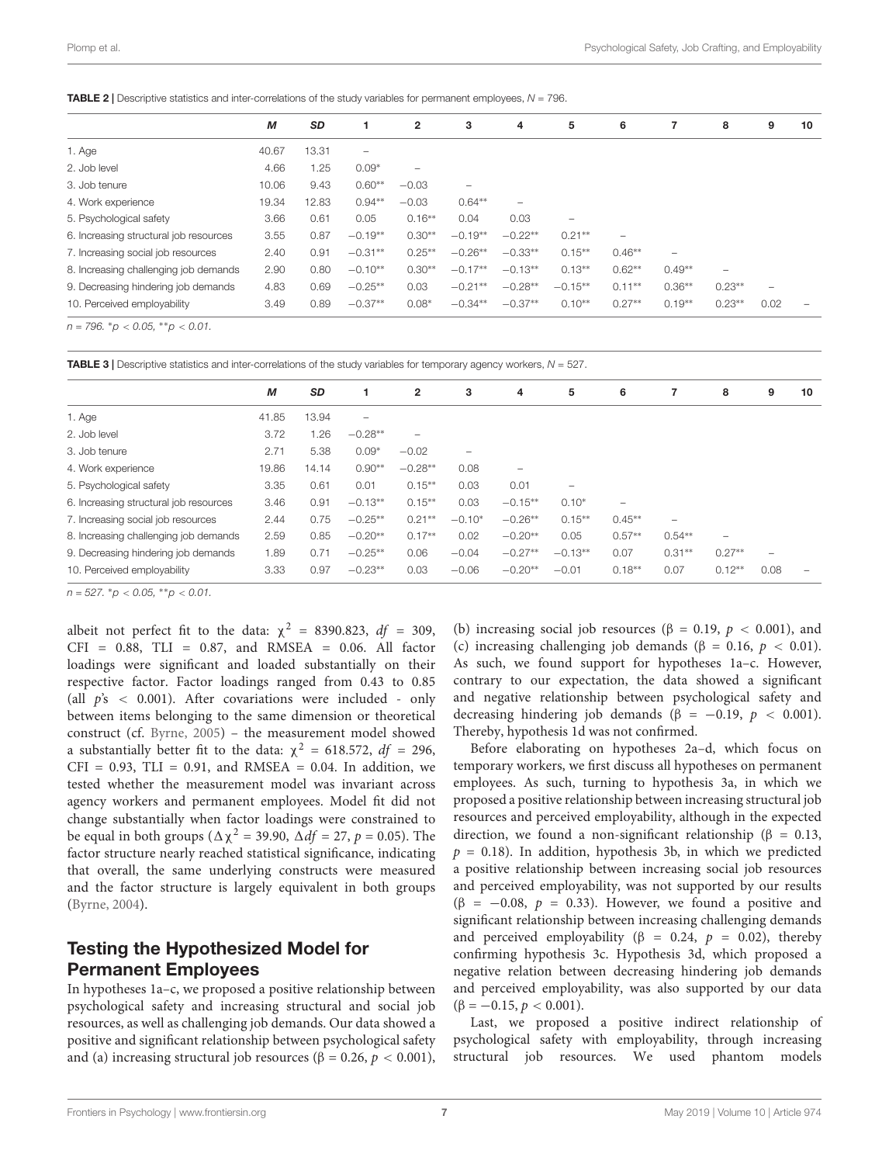<span id="page-7-0"></span>

|                                        | M     | <b>SD</b> |                          | $\mathbf{2}$             | з         | 4                        | 5                        | 6                        | 7        | 8                        | 9    | 10 |
|----------------------------------------|-------|-----------|--------------------------|--------------------------|-----------|--------------------------|--------------------------|--------------------------|----------|--------------------------|------|----|
| 1. Age                                 | 40.67 | 13.31     | $\overline{\phantom{0}}$ |                          |           |                          |                          |                          |          |                          |      |    |
| 2. Job level                           | 4.66  | 1.25      | $0.09*$                  | $\overline{\phantom{m}}$ |           |                          |                          |                          |          |                          |      |    |
| 3. Job tenure                          | 10.06 | 9.43      | $0.60**$                 | $-0.03$                  | -         |                          |                          |                          |          |                          |      |    |
| 4. Work experience                     | 19.34 | 12.83     | $0.94**$                 | $-0.03$                  | $0.64**$  | $\overline{\phantom{0}}$ |                          |                          |          |                          |      |    |
| 5. Psychological safety                | 3.66  | 0.61      | 0.05                     | $0.16**$                 | 0.04      | 0.03                     | $\overline{\phantom{0}}$ |                          |          |                          |      |    |
| 6. Increasing structural job resources | 3.55  | 0.87      | $-0.19**$                | $0.30**$                 | $-0.19**$ | $-0.22**$                | $0.21***$                | $\overline{\phantom{a}}$ |          |                          |      |    |
| 7. Increasing social job resources     | 2.40  | 0.91      | $-0.31**$                | $0.25**$                 | $-0.26**$ | $-0.33**$                | $0.15**$                 | $0.46**$                 | -        |                          |      |    |
| 8. Increasing challenging job demands  | 2.90  | 0.80      | $-0.10**$                | $0.30**$                 | $-0.17**$ | $-0.13**$                | $0.13**$                 | $0.62**$                 | $0.49**$ | $\overline{\phantom{0}}$ |      |    |
| 9. Decreasing hindering job demands    | 4.83  | 0.69      | $-0.25**$                | 0.03                     | $-0.21**$ | $-0.28**$                | $-0.15**$                | $0.11**$                 | $0.36**$ | $0.23**$                 | -    |    |
| 10. Perceived employability            | 3.49  | 0.89      | $-0.37**$                | $0.08*$                  | $-0.34**$ | $-0.37**$                | $0.10**$                 | $0.27**$                 | $0.19**$ | $0.23**$                 | 0.02 | -  |
| ____<br>- - -                          |       |           |                          |                          |           |                          |                          |                          |          |                          |      |    |

 $n = 796$ ,  ${}^*p < 0.05$ ,  ${}^{**}p < 0.01$ .

<span id="page-7-1"></span>**TABLE 3** | Descriptive statistics and inter-correlations of the study variables for temporary agency workers,  $N = 527$ .

|                                        | М     | <b>SD</b> |                          | $\overline{2}$           | 3        | 4         | 5                        | 6               |                          | 8        | 9               | 10 |
|----------------------------------------|-------|-----------|--------------------------|--------------------------|----------|-----------|--------------------------|-----------------|--------------------------|----------|-----------------|----|
| 1. Age                                 | 41.85 | 13.94     | $\overline{\phantom{a}}$ |                          |          |           |                          |                 |                          |          |                 |    |
| 2. Job level                           | 3.72  | .26       | $-0.28**$                | $\overline{\phantom{0}}$ |          |           |                          |                 |                          |          |                 |    |
| 3. Job tenure                          | 2.71  | 5.38      | $0.09*$                  | $-0.02$                  | -        |           |                          |                 |                          |          |                 |    |
| 4. Work experience                     | 19.86 | 14.14     | $0.90**$                 | $-0.28**$                | 0.08     | -         |                          |                 |                          |          |                 |    |
| 5. Psychological safety                | 3.35  | 0.61      | 0.01                     | $0.15***$                | 0.03     | 0.01      | $\overline{\phantom{0}}$ |                 |                          |          |                 |    |
| 6. Increasing structural job resources | 3.46  | 0.91      | $-0.13**$                | $0.15***$                | 0.03     | $-0.15**$ | $0.10*$                  | $\qquad \qquad$ |                          |          |                 |    |
| 7. Increasing social job resources     | 2.44  | 0.75      | $-0.25**$                | $0.21***$                | $-0.10*$ | $-0.26**$ | $0.15***$                | $0.45**$        | $\overline{\phantom{0}}$ |          |                 |    |
| 8. Increasing challenging job demands  | 2.59  | 0.85      | $-0.20**$                | $0.17**$                 | 0.02     | $-0.20**$ | 0.05                     | $0.57**$        | $0.54**$                 | -        |                 |    |
| 9. Decreasing hindering job demands    | 1.89  | 0.71      | $-0.25**$                | 0.06                     | $-0.04$  | $-0.27**$ | $-0.13**$                | 0.07            | $0.31**$                 | $0.27**$ | $\qquad \qquad$ |    |
| 10. Perceived employability            | 3.33  | 0.97      | $-0.23**$                | 0.03                     | $-0.06$  | $-0.20**$ | $-0.01$                  | $0.18**$        | 0.07                     | $0.12**$ | 0.08            |    |

 $n = 527$ . \* $p < 0.05$ , \*\* $p < 0.01$ .

albeit not perfect fit to the data:  $\chi^2$  = 8390.823, df = 309, CFI = 0.88, TLI = 0.87, and RMSEA = 0.06. All factor loadings were significant and loaded substantially on their respective factor. Factor loadings ranged from 0.43 to 0.85 (all  $p's < 0.001$ ). After covariations were included - only between items belonging to the same dimension or theoretical construct (cf. [Byrne,](#page-12-36) [2005\)](#page-12-36) – the measurement model showed a substantially better fit to the data:  $\chi^2 = 618.572$ ,  $df = 296$ ,  $CFI = 0.93$ ,  $TLI = 0.91$ , and RMSEA = 0.04. In addition, we tested whether the measurement model was invariant across agency workers and permanent employees. Model fit did not change substantially when factor loadings were constrained to be equal in both groups ( $\Delta \chi^2$  = 39.90,  $\Delta df$  = 27, p = 0.05). The factor structure nearly reached statistical significance, indicating that overall, the same underlying constructs were measured and the factor structure is largely equivalent in both groups [\(Byrne,](#page-12-34) [2004\)](#page-12-34).

#### Testing the Hypothesized Model for Permanent Employees

In hypotheses 1a–c, we proposed a positive relationship between psychological safety and increasing structural and social job resources, as well as challenging job demands. Our data showed a positive and significant relationship between psychological safety and (a) increasing structural job resources ( $\beta = 0.26$ ,  $p < 0.001$ ), (b) increasing social job resources ( $\beta = 0.19$ ,  $p < 0.001$ ), and (c) increasing challenging job demands ( $\beta = 0.16$ ,  $p < 0.01$ ). As such, we found support for hypotheses 1a–c. However, contrary to our expectation, the data showed a significant and negative relationship between psychological safety and decreasing hindering job demands ( $\beta = -0.19$ ,  $p < 0.001$ ). Thereby, hypothesis 1d was not confirmed.

Before elaborating on hypotheses 2a–d, which focus on temporary workers, we first discuss all hypotheses on permanent employees. As such, turning to hypothesis 3a, in which we proposed a positive relationship between increasing structural job resources and perceived employability, although in the expected direction, we found a non-significant relationship ( $\beta = 0.13$ ,  $p = 0.18$ ). In addition, hypothesis 3b, in which we predicted a positive relationship between increasing social job resources and perceived employability, was not supported by our results  $(\beta = -0.08, p = 0.33)$ . However, we found a positive and significant relationship between increasing challenging demands and perceived employability ( $\beta = 0.24$ ,  $p = 0.02$ ), thereby confirming hypothesis 3c. Hypothesis 3d, which proposed a negative relation between decreasing hindering job demands and perceived employability, was also supported by our data  $(\beta = -0.15, p < 0.001).$ 

Last, we proposed a positive indirect relationship of psychological safety with employability, through increasing structural job resources. We used phantom models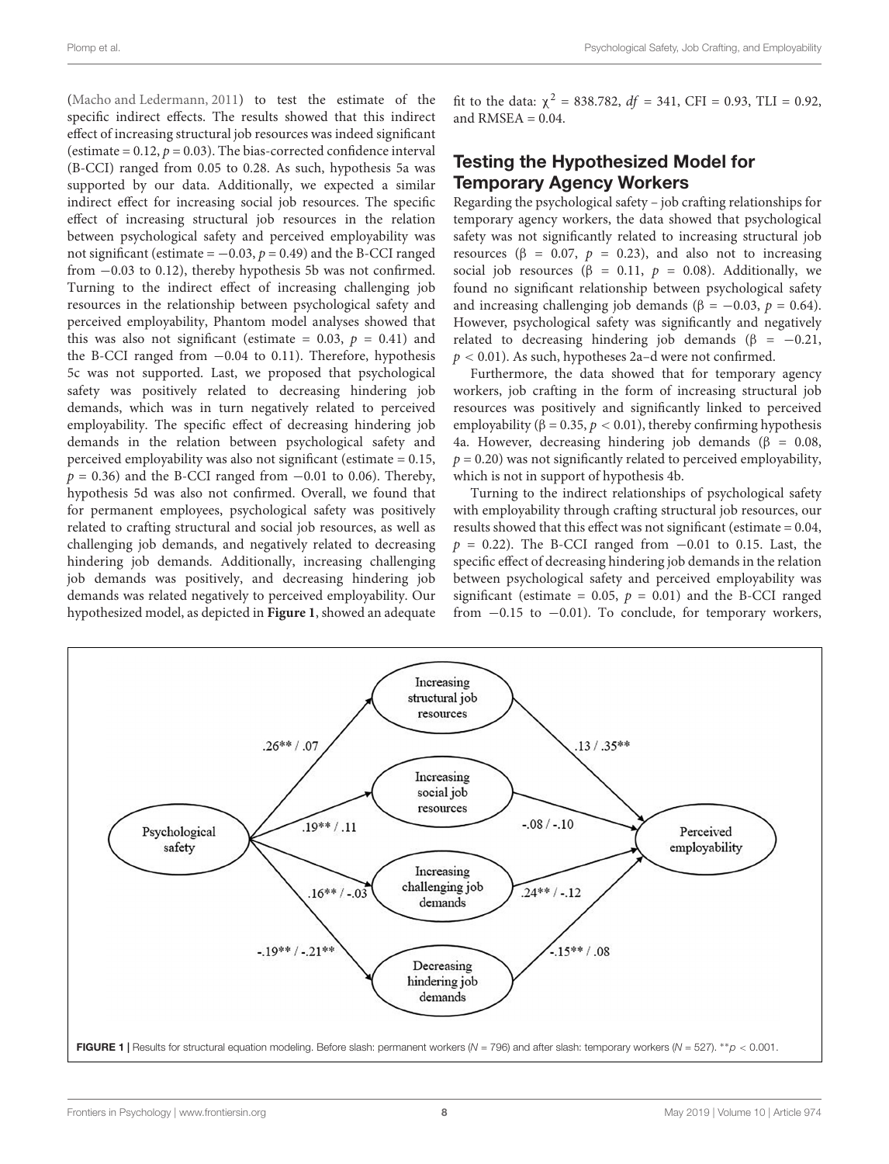[\(Macho and Ledermann,](#page-12-35) [2011\)](#page-12-35) to test the estimate of the specific indirect effects. The results showed that this indirect effect of increasing structural job resources was indeed significant (estimate =  $0.12$ ,  $p = 0.03$ ). The bias-corrected confidence interval (B-CCI) ranged from 0.05 to 0.28. As such, hypothesis 5a was supported by our data. Additionally, we expected a similar indirect effect for increasing social job resources. The specific effect of increasing structural job resources in the relation between psychological safety and perceived employability was not significant (estimate =  $-0.03$ ,  $p = 0.49$ ) and the B-CCI ranged from −0.03 to 0.12), thereby hypothesis 5b was not confirmed. Turning to the indirect effect of increasing challenging job resources in the relationship between psychological safety and perceived employability, Phantom model analyses showed that this was also not significant (estimate = 0.03,  $p = 0.41$ ) and the B-CCI ranged from −0.04 to 0.11). Therefore, hypothesis 5c was not supported. Last, we proposed that psychological safety was positively related to decreasing hindering job demands, which was in turn negatively related to perceived employability. The specific effect of decreasing hindering job demands in the relation between psychological safety and perceived employability was also not significant (estimate = 0.15,  $p = 0.36$ ) and the B-CCI ranged from  $-0.01$  to 0.06). Thereby, hypothesis 5d was also not confirmed. Overall, we found that for permanent employees, psychological safety was positively related to crafting structural and social job resources, as well as challenging job demands, and negatively related to decreasing hindering job demands. Additionally, increasing challenging job demands was positively, and decreasing hindering job demands was related negatively to perceived employability. Our hypothesized model, as depicted in **[Figure 1](#page-8-0)**, showed an adequate

fit to the data:  $\chi^2 = 838.782$ ,  $df = 341$ , CFI = 0.93, TLI = 0.92, and RMSEA  $= 0.04$ .

#### Testing the Hypothesized Model for Temporary Agency Workers

Regarding the psychological safety – job crafting relationships for temporary agency workers, the data showed that psychological safety was not significantly related to increasing structural job resources ( $β = 0.07$ ,  $p = 0.23$ ), and also not to increasing social job resources ( $\beta = 0.11$ ,  $p = 0.08$ ). Additionally, we found no significant relationship between psychological safety and increasing challenging job demands ( $\beta = -0.03$ ,  $p = 0.64$ ). However, psychological safety was significantly and negatively related to decreasing hindering job demands ( $\beta$  = -0.21,  $p < 0.01$ ). As such, hypotheses 2a-d were not confirmed.

Furthermore, the data showed that for temporary agency workers, job crafting in the form of increasing structural job resources was positively and significantly linked to perceived employability ( $\beta = 0.35$ ,  $p < 0.01$ ), thereby confirming hypothesis 4a. However, decreasing hindering job demands ( $β = 0.08$ ,  $p = 0.20$ ) was not significantly related to perceived employability, which is not in support of hypothesis 4b.

Turning to the indirect relationships of psychological safety with employability through crafting structural job resources, our results showed that this effect was not significant (estimate = 0.04,  $p = 0.22$ ). The B-CCI ranged from  $-0.01$  to 0.15. Last, the specific effect of decreasing hindering job demands in the relation between psychological safety and perceived employability was significant (estimate = 0.05,  $p = 0.01$ ) and the B-CCI ranged from  $-0.15$  to  $-0.01$ ). To conclude, for temporary workers,

<span id="page-8-0"></span>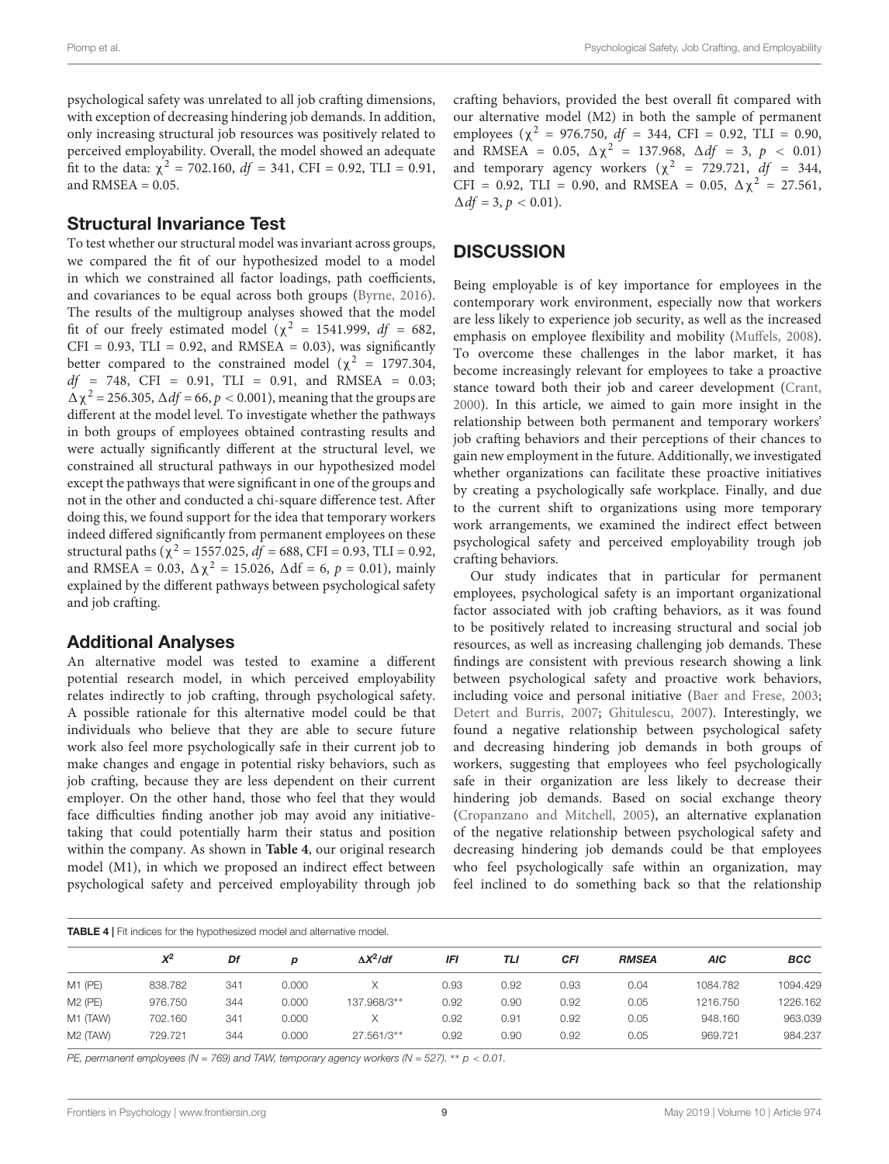psychological safety was unrelated to all job crafting dimensions, with exception of decreasing hindering job demands. In addition, only increasing structural job resources was positively related to perceived employability. Overall, the model showed an adequate fit to the data:  $\chi^2 = 702.160$ ,  $df = 341$ , CFI = 0.92, TLI = 0.91, and  $RMSEA = 0.05$ .

#### Structural Invariance Test

To test whether our structural model was invariant across groups, we compared the fit of our hypothesized model to a model in which we constrained all factor loadings, path coefficients, and covariances to be equal across both groups [\(Byrne,](#page-12-37) [2016\)](#page-12-37). The results of the multigroup analyses showed that the model fit of our freely estimated model ( $\chi^2$  = 1541.999, *df* = 682,  $CFI = 0.93$ ,  $TLI = 0.92$ , and  $RMSEA = 0.03$ ), was significantly better compared to the constrained model ( $\chi^2$  = 1797.304,  $df = 748$ , CFI = 0.91, TLI = 0.91, and RMSEA = 0.03;  $Δχ<sup>2</sup> = 256.305, Δdf = 66, p < 0.001$ , meaning that the groups are different at the model level. To investigate whether the pathways in both groups of employees obtained contrasting results and were actually significantly different at the structural level, we constrained all structural pathways in our hypothesized model except the pathways that were significant in one of the groups and not in the other and conducted a chi-square difference test. After doing this, we found support for the idea that temporary workers indeed differed significantly from permanent employees on these structural paths ( $\chi^2$  = 1557.025,  $df$  = 688, CFI = 0.93, TLI = 0.92, and RMSEA = 0.03,  $\Delta \chi^2 = 15.026$ ,  $\Delta df = 6$ ,  $p = 0.01$ ), mainly explained by the different pathways between psychological safety and job crafting.

#### Additional Analyses

An alternative model was tested to examine a different potential research model, in which perceived employability relates indirectly to job crafting, through psychological safety. A possible rationale for this alternative model could be that individuals who believe that they are able to secure future work also feel more psychologically safe in their current job to make changes and engage in potential risky behaviors, such as job crafting, because they are less dependent on their current employer. On the other hand, those who feel that they would face difficulties finding another job may avoid any initiativetaking that could potentially harm their status and position within the company. As shown in **[Table 4](#page-9-0)**, our original research model (M1), in which we proposed an indirect effect between psychological safety and perceived employability through job

crafting behaviors, provided the best overall fit compared with our alternative model (M2) in both the sample of permanent employees ( $\chi^2$  = 976.750, df = 344, CFI = 0.92, TLI = 0.90, and RMSEA = 0.05,  $\Delta \chi^2$  = 137.968,  $\Delta df$  = 3,  $p$  < 0.01) and temporary agency workers ( $\chi^2$  = 729.721, df = 344, CFI = 0.92, TLI = 0.90, and RMSEA = 0.05,  $\Delta \chi^2 = 27.561$ ,  $\Delta df = 3, p < 0.01$ ).

#### **DISCUSSION**

Being employable is of key importance for employees in the contemporary work environment, especially now that workers are less likely to experience job security, as well as the increased emphasis on employee flexibility and mobility [\(Muffels,](#page-13-17) [2008\)](#page-13-17). To overcome these challenges in the labor market, it has become increasingly relevant for employees to take a proactive stance toward both their job and career development [\(Crant,](#page-12-10) [2000\)](#page-12-10). In this article, we aimed to gain more insight in the relationship between both permanent and temporary workers' job crafting behaviors and their perceptions of their chances to gain new employment in the future. Additionally, we investigated whether organizations can facilitate these proactive initiatives by creating a psychologically safe workplace. Finally, and due to the current shift to organizations using more temporary work arrangements, we examined the indirect effect between psychological safety and perceived employability trough job crafting behaviors.

Our study indicates that in particular for permanent employees, psychological safety is an important organizational factor associated with job crafting behaviors, as it was found to be positively related to increasing structural and social job resources, as well as increasing challenging job demands. These findings are consistent with previous research showing a link between psychological safety and proactive work behaviors, including voice and personal initiative [\(Baer and Frese,](#page-12-11) [2003;](#page-12-11) [Detert and Burris,](#page-12-17) [2007;](#page-12-17) [Ghitulescu,](#page-12-38) [2007\)](#page-12-38). Interestingly, we found a negative relationship between psychological safety and decreasing hindering job demands in both groups of workers, suggesting that employees who feel psychologically safe in their organization are less likely to decrease their hindering job demands. Based on social exchange theory [\(Cropanzano and Mitchell,](#page-12-39) [2005\)](#page-12-39), an alternative explanation of the negative relationship between psychological safety and decreasing hindering job demands could be that employees who feel psychologically safe within an organization, may feel inclined to do something back so that the relationship

<span id="page-9-0"></span>

| <b>TABLE 4</b>   Fit indices for the hypothesized model and alternative model. |         |     |       |                  |      |      |            |              |          |            |  |  |
|--------------------------------------------------------------------------------|---------|-----|-------|------------------|------|------|------------|--------------|----------|------------|--|--|
|                                                                                | $X^2$   | Df  | p     | $\Delta X^2$ /df | IFI  | TLI  | <b>CFI</b> | <b>RMSEA</b> | AIC      | <b>BCC</b> |  |  |
| $M1$ (PE)                                                                      | 838.782 | 341 | 0.000 |                  | 0.93 | 0.92 | 0.93       | 0.04         | 1084.782 | 1094.429   |  |  |
| $M2$ (PE)                                                                      | 976.750 | 344 | 0.000 | 137.968/3**      | 0.92 | 0.90 | 0.92       | 0.05         | 1216.750 | 1226.162   |  |  |
| M1 (TAW)                                                                       | 702.160 | 341 | 0.000 | X                | 0.92 | 0.91 | 0.92       | 0.05         | 948.160  | 963.039    |  |  |
| M <sub>2</sub> (TAW)                                                           | 729.721 | 344 | 0.000 | 27.561/3**       | 0.92 | 0.90 | 0.92       | 0.05         | 969.721  | 984.237    |  |  |

PE, permanent employees (N = 769) and TAW, temporary agency workers (N = 527). \*\*  $p < 0.01$ .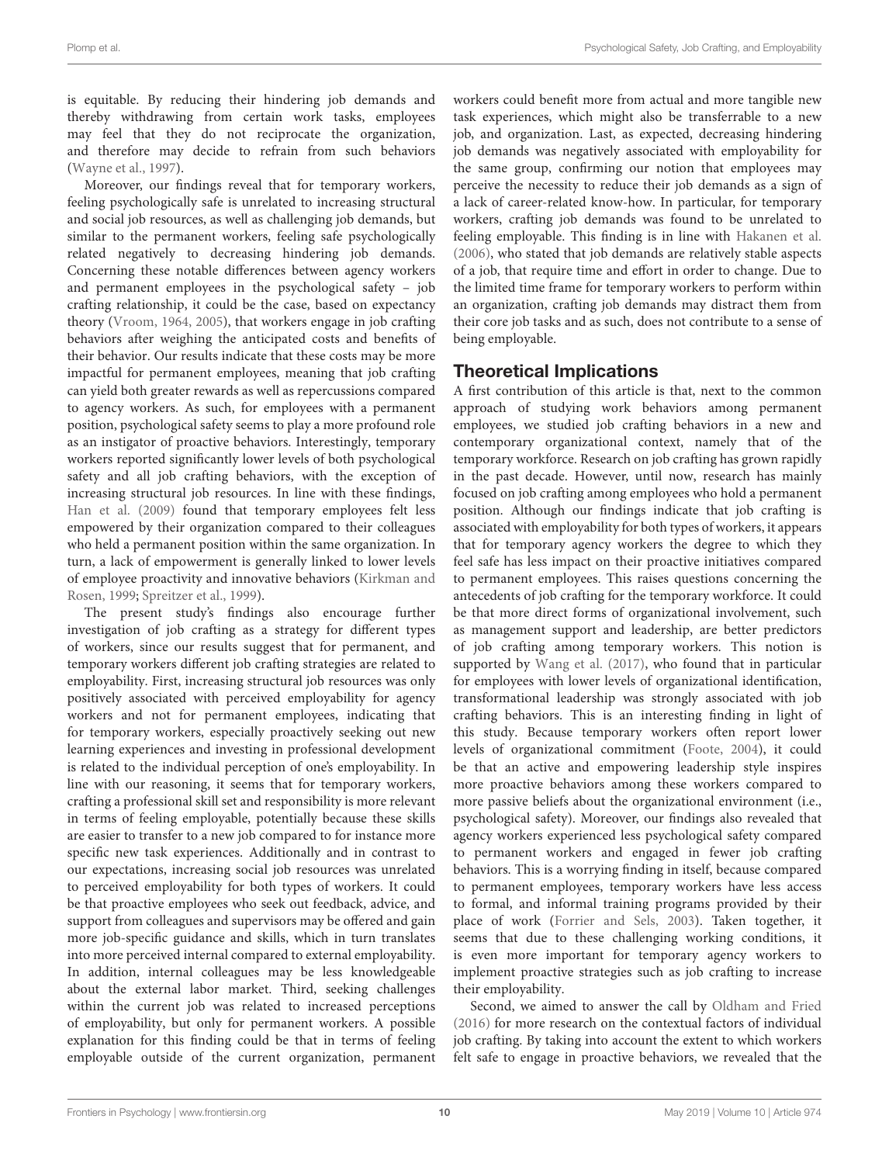is equitable. By reducing their hindering job demands and thereby withdrawing from certain work tasks, employees may feel that they do not reciprocate the organization, and therefore may decide to refrain from such behaviors [\(Wayne et al.,](#page-13-18) [1997\)](#page-13-18).

Moreover, our findings reveal that for temporary workers, feeling psychologically safe is unrelated to increasing structural and social job resources, as well as challenging job demands, but similar to the permanent workers, feeling safe psychologically related negatively to decreasing hindering job demands. Concerning these notable differences between agency workers and permanent employees in the psychological safety – job crafting relationship, it could be the case, based on expectancy theory [\(Vroom,](#page-13-9) [1964,](#page-13-9) [2005\)](#page-13-10), that workers engage in job crafting behaviors after weighing the anticipated costs and benefits of their behavior. Our results indicate that these costs may be more impactful for permanent employees, meaning that job crafting can yield both greater rewards as well as repercussions compared to agency workers. As such, for employees with a permanent position, psychological safety seems to play a more profound role as an instigator of proactive behaviors. Interestingly, temporary workers reported significantly lower levels of both psychological safety and all job crafting behaviors, with the exception of increasing structural job resources. In line with these findings, [Han et al.](#page-12-40) [\(2009\)](#page-12-40) found that temporary employees felt less empowered by their organization compared to their colleagues who held a permanent position within the same organization. In turn, a lack of empowerment is generally linked to lower levels of employee proactivity and innovative behaviors [\(Kirkman and](#page-12-41) [Rosen,](#page-12-41) [1999;](#page-12-41) [Spreitzer et al.,](#page-13-19) [1999\)](#page-13-19).

The present study's findings also encourage further investigation of job crafting as a strategy for different types of workers, since our results suggest that for permanent, and temporary workers different job crafting strategies are related to employability. First, increasing structural job resources was only positively associated with perceived employability for agency workers and not for permanent employees, indicating that for temporary workers, especially proactively seeking out new learning experiences and investing in professional development is related to the individual perception of one's employability. In line with our reasoning, it seems that for temporary workers, crafting a professional skill set and responsibility is more relevant in terms of feeling employable, potentially because these skills are easier to transfer to a new job compared to for instance more specific new task experiences. Additionally and in contrast to our expectations, increasing social job resources was unrelated to perceived employability for both types of workers. It could be that proactive employees who seek out feedback, advice, and support from colleagues and supervisors may be offered and gain more job-specific guidance and skills, which in turn translates into more perceived internal compared to external employability. In addition, internal colleagues may be less knowledgeable about the external labor market. Third, seeking challenges within the current job was related to increased perceptions of employability, but only for permanent workers. A possible explanation for this finding could be that in terms of feeling employable outside of the current organization, permanent

workers could benefit more from actual and more tangible new task experiences, which might also be transferrable to a new job, and organization. Last, as expected, decreasing hindering job demands was negatively associated with employability for the same group, confirming our notion that employees may perceive the necessity to reduce their job demands as a sign of a lack of career-related know-how. In particular, for temporary workers, crafting job demands was found to be unrelated to feeling employable. This finding is in line with [Hakanen et al.](#page-12-28) [\(2006\)](#page-12-28), who stated that job demands are relatively stable aspects of a job, that require time and effort in order to change. Due to the limited time frame for temporary workers to perform within an organization, crafting job demands may distract them from their core job tasks and as such, does not contribute to a sense of being employable.

#### Theoretical Implications

A first contribution of this article is that, next to the common approach of studying work behaviors among permanent employees, we studied job crafting behaviors in a new and contemporary organizational context, namely that of the temporary workforce. Research on job crafting has grown rapidly in the past decade. However, until now, research has mainly focused on job crafting among employees who hold a permanent position. Although our findings indicate that job crafting is associated with employability for both types of workers, it appears that for temporary agency workers the degree to which they feel safe has less impact on their proactive initiatives compared to permanent employees. This raises questions concerning the antecedents of job crafting for the temporary workforce. It could be that more direct forms of organizational involvement, such as management support and leadership, are better predictors of job crafting among temporary workers. This notion is supported by [Wang et al.](#page-13-20) [\(2017\)](#page-13-20), who found that in particular for employees with lower levels of organizational identification, transformational leadership was strongly associated with job crafting behaviors. This is an interesting finding in light of this study. Because temporary workers often report lower levels of organizational commitment [\(Foote,](#page-12-42) [2004\)](#page-12-42), it could be that an active and empowering leadership style inspires more proactive behaviors among these workers compared to more passive beliefs about the organizational environment (i.e., psychological safety). Moreover, our findings also revealed that agency workers experienced less psychological safety compared to permanent workers and engaged in fewer job crafting behaviors. This is a worrying finding in itself, because compared to permanent employees, temporary workers have less access to formal, and informal training programs provided by their place of work [\(Forrier and Sels,](#page-12-9) [2003\)](#page-12-9). Taken together, it seems that due to these challenging working conditions, it is even more important for temporary agency workers to implement proactive strategies such as job crafting to increase their employability.

Second, we aimed to answer the call by [Oldham and Fried](#page-13-6) [\(2016\)](#page-13-6) for more research on the contextual factors of individual job crafting. By taking into account the extent to which workers felt safe to engage in proactive behaviors, we revealed that the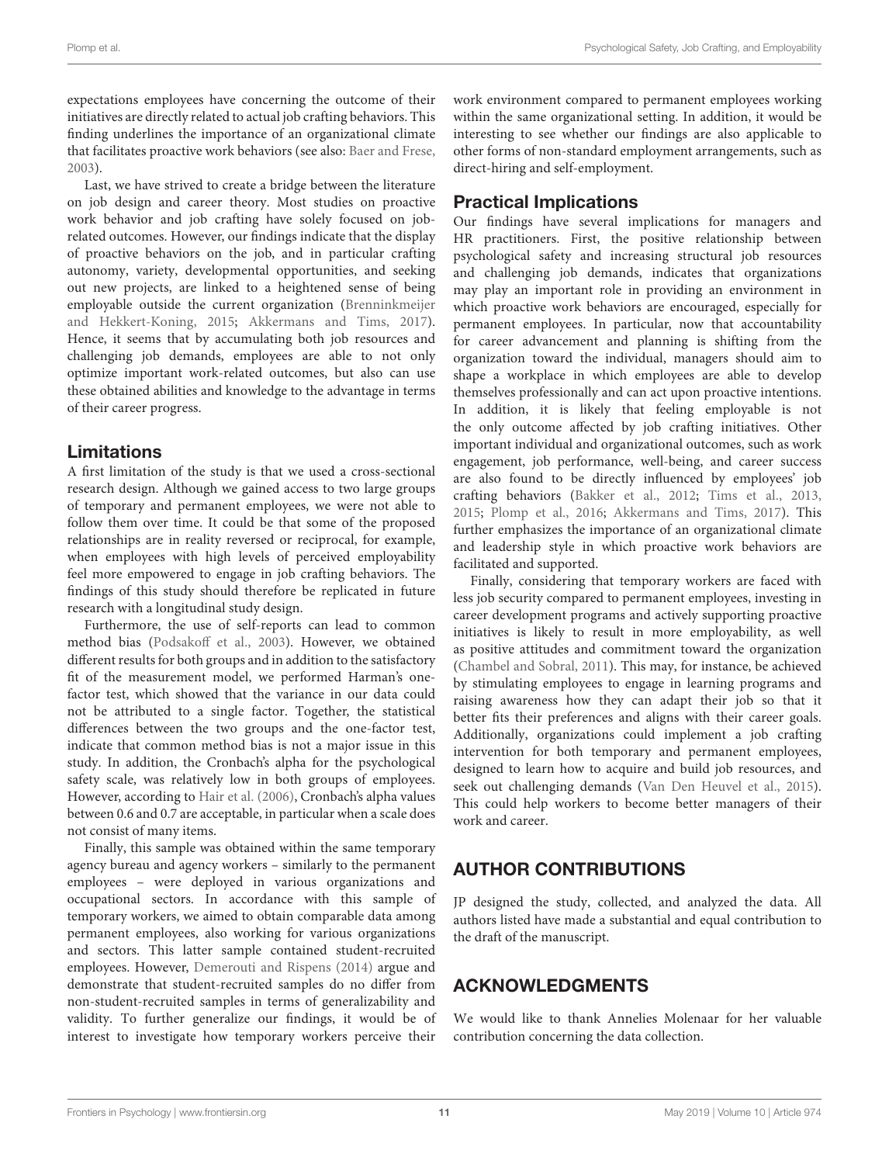expectations employees have concerning the outcome of their initiatives are directly related to actual job crafting behaviors. This finding underlines the importance of an organizational climate that facilitates proactive work behaviors (see also: [Baer and Frese,](#page-12-11) [2003\)](#page-12-11).

Last, we have strived to create a bridge between the literature on job design and career theory. Most studies on proactive work behavior and job crafting have solely focused on jobrelated outcomes. However, our findings indicate that the display of proactive behaviors on the job, and in particular crafting autonomy, variety, developmental opportunities, and seeking out new projects, are linked to a heightened sense of being employable outside the current organization [\(Brenninkmeijer](#page-12-5) [and Hekkert-Koning,](#page-12-5) [2015;](#page-12-5) [Akkermans and Tims,](#page-12-12) [2017\)](#page-12-12). Hence, it seems that by accumulating both job resources and challenging job demands, employees are able to not only optimize important work-related outcomes, but also can use these obtained abilities and knowledge to the advantage in terms of their career progress.

#### Limitations

A first limitation of the study is that we used a cross-sectional research design. Although we gained access to two large groups of temporary and permanent employees, we were not able to follow them over time. It could be that some of the proposed relationships are in reality reversed or reciprocal, for example, when employees with high levels of perceived employability feel more empowered to engage in job crafting behaviors. The findings of this study should therefore be replicated in future research with a longitudinal study design.

Furthermore, the use of self-reports can lead to common method bias [\(Podsakoff et al.,](#page-13-21) [2003\)](#page-13-21). However, we obtained different results for both groups and in addition to the satisfactory fit of the measurement model, we performed Harman's onefactor test, which showed that the variance in our data could not be attributed to a single factor. Together, the statistical differences between the two groups and the one-factor test, indicate that common method bias is not a major issue in this study. In addition, the Cronbach's alpha for the psychological safety scale, was relatively low in both groups of employees. However, according to [Hair et al.](#page-12-43) [\(2006\)](#page-12-43), Cronbach's alpha values between 0.6 and 0.7 are acceptable, in particular when a scale does not consist of many items.

Finally, this sample was obtained within the same temporary agency bureau and agency workers – similarly to the permanent employees – were deployed in various organizations and occupational sectors. In accordance with this sample of temporary workers, we aimed to obtain comparable data among permanent employees, also working for various organizations and sectors. This latter sample contained student-recruited employees. However, [Demerouti and Rispens](#page-12-44) [\(2014\)](#page-12-44) argue and demonstrate that student-recruited samples do no differ from non-student-recruited samples in terms of generalizability and validity. To further generalize our findings, it would be of interest to investigate how temporary workers perceive their

work environment compared to permanent employees working within the same organizational setting. In addition, it would be interesting to see whether our findings are also applicable to other forms of non-standard employment arrangements, such as direct-hiring and self-employment.

#### Practical Implications

Our findings have several implications for managers and HR practitioners. First, the positive relationship between psychological safety and increasing structural job resources and challenging job demands, indicates that organizations may play an important role in providing an environment in which proactive work behaviors are encouraged, especially for permanent employees. In particular, now that accountability for career advancement and planning is shifting from the organization toward the individual, managers should aim to shape a workplace in which employees are able to develop themselves professionally and can act upon proactive intentions. In addition, it is likely that feeling employable is not the only outcome affected by job crafting initiatives. Other important individual and organizational outcomes, such as work engagement, job performance, well-being, and career success are also found to be directly influenced by employees' job crafting behaviors [\(Bakker et al.,](#page-12-45) [2012;](#page-12-45) [Tims et al.,](#page-13-22) [2013,](#page-13-22) [2015;](#page-13-11) [Plomp et al.,](#page-13-14) [2016;](#page-13-14) [Akkermans and Tims,](#page-12-12) [2017\)](#page-12-12). This further emphasizes the importance of an organizational climate and leadership style in which proactive work behaviors are facilitated and supported.

Finally, considering that temporary workers are faced with less job security compared to permanent employees, investing in career development programs and actively supporting proactive initiatives is likely to result in more employability, as well as positive attitudes and commitment toward the organization [\(Chambel and Sobral,](#page-12-46) [2011\)](#page-12-46). This may, for instance, be achieved by stimulating employees to engage in learning programs and raising awareness how they can adapt their job so that it better fits their preferences and aligns with their career goals. Additionally, organizations could implement a job crafting intervention for both temporary and permanent employees, designed to learn how to acquire and build job resources, and seek out challenging demands [\(Van Den Heuvel et al.,](#page-13-23) [2015\)](#page-13-23). This could help workers to become better managers of their work and career.

## AUTHOR CONTRIBUTIONS

JP designed the study, collected, and analyzed the data. All authors listed have made a substantial and equal contribution to the draft of the manuscript.

#### ACKNOWLEDGMENTS

We would like to thank Annelies Molenaar for her valuable contribution concerning the data collection.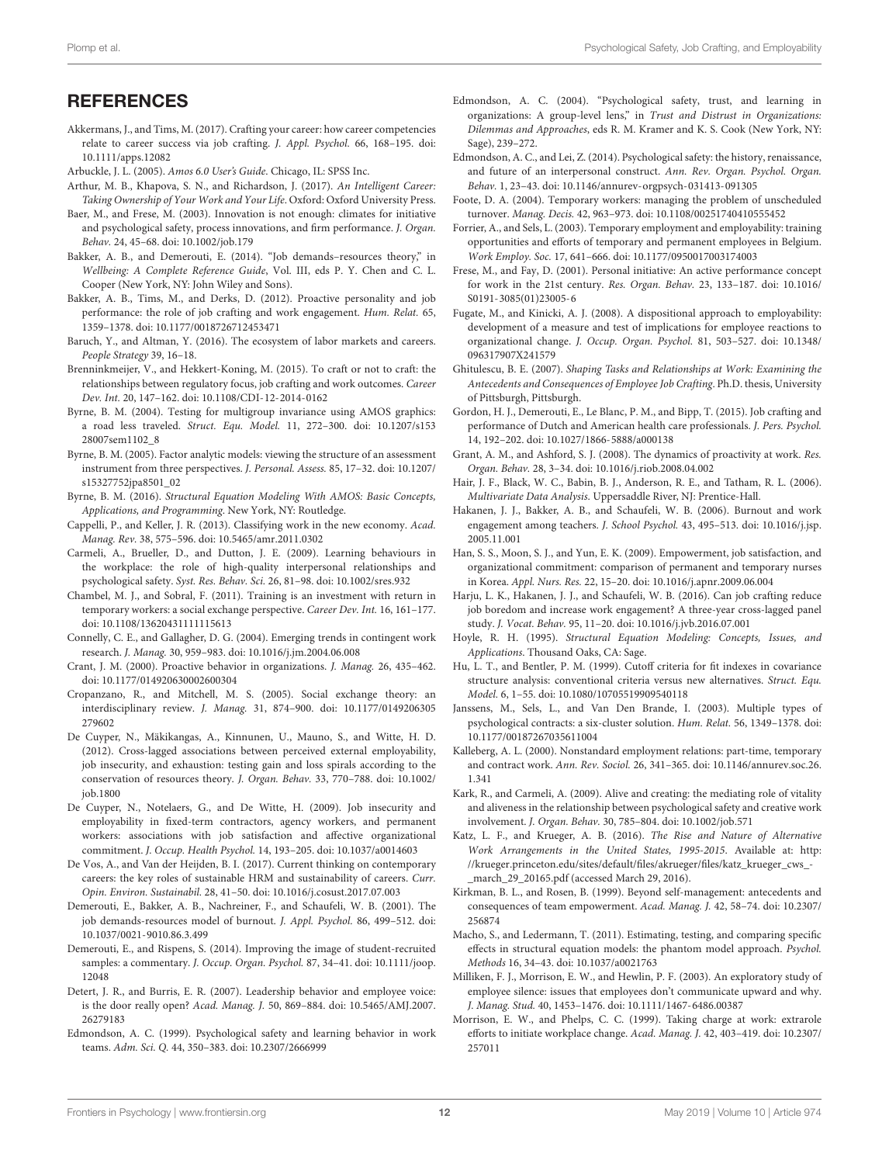#### **REFERENCES**

- <span id="page-12-12"></span>Akkermans, J., and Tims, M. (2017). Crafting your career: how career competencies relate to career success via job crafting. J. Appl. Psychol. 66, 168–195. [doi:](https://doi.org/10.1111/apps.12082) [10.1111/apps.12082](https://doi.org/10.1111/apps.12082)
- <span id="page-12-33"></span>Arbuckle, J. L. (2005). Amos 6.0 User's Guide. Chicago, IL: SPSS Inc.
- <span id="page-12-3"></span>Arthur, M. B., Khapova, S. N., and Richardson, J. (2017). An Intelligent Career: Taking Ownership of Your Work and Your Life. Oxford: Oxford University Press.
- <span id="page-12-11"></span>Baer, M., and Frese, M. (2003). Innovation is not enough: climates for initiative and psychological safety, process innovations, and firm performance. J. Organ. Behav. 24, 45–68. [doi: 10.1002/job.179](https://doi.org/10.1002/job.179)
- <span id="page-12-19"></span>Bakker, A. B., and Demerouti, E. (2014). "Job demands–resources theory," in Wellbeing: A Complete Reference Guide, Vol. III, eds P. Y. Chen and C. L. Cooper (New York, NY: John Wiley and Sons).
- <span id="page-12-45"></span>Bakker, A. B., Tims, M., and Derks, D. (2012). Proactive personality and job performance: the role of job crafting and work engagement. Hum. Relat. 65, 1359–1378. [doi: 10.1177/0018726712453471](https://doi.org/10.1177/0018726712453471)
- <span id="page-12-0"></span>Baruch, Y., and Altman, Y. (2016). The ecosystem of labor markets and careers. People Strategy 39, 16–18.
- <span id="page-12-5"></span>Brenninkmeijer, V., and Hekkert-Koning, M. (2015). To craft or not to craft: the relationships between regulatory focus, job crafting and work outcomes. Career Dev. Int. 20, 147–162. [doi: 10.1108/CDI-12-2014-0162](https://doi.org/10.1108/CDI-12-2014-0162)
- <span id="page-12-34"></span>Byrne, B. M. (2004). Testing for multigroup invariance using AMOS graphics: a road less traveled. Struct. Equ. Model. 11, 272–300. [doi: 10.1207/s153](https://doi.org/10.1207/s15328007sem1102_8) [28007sem1102\\_8](https://doi.org/10.1207/s15328007sem1102_8)
- <span id="page-12-36"></span>Byrne, B. M. (2005). Factor analytic models: viewing the structure of an assessment instrument from three perspectives. J. Personal. Assess. 85, 17–32. [doi: 10.1207/](https://doi.org/10.1207/s15327752jpa8501_02) [s15327752jpa8501\\_02](https://doi.org/10.1207/s15327752jpa8501_02)
- <span id="page-12-37"></span>Byrne, B. M. (2016). Structural Equation Modeling With AMOS: Basic Concepts, Applications, and Programming. New York, NY: Routledge.
- <span id="page-12-2"></span>Cappelli, P., and Keller, J. R. (2013). Classifying work in the new economy. Acad. Manag. Rev. 38, 575–596. [doi: 10.5465/amr.2011.0302](https://doi.org/10.5465/amr.2011.0302)
- <span id="page-12-24"></span>Carmeli, A., Brueller, D., and Dutton, J. E. (2009). Learning behaviours in the workplace: the role of high-quality interpersonal relationships and psychological safety. Syst. Res. Behav. Sci. 26, 81–98. [doi: 10.1002/sres.932](https://doi.org/10.1002/sres.932)
- <span id="page-12-46"></span>Chambel, M. J., and Sobral, F. (2011). Training is an investment with return in temporary workers: a social exchange perspective. Career Dev. Int. 16, 161–177. [doi: 10.1108/13620431111115613](https://doi.org/10.1108/13620431111115613)
- <span id="page-12-8"></span>Connelly, C. E., and Gallagher, D. G. (2004). Emerging trends in contingent work research. J. Manag. 30, 959–983. [doi: 10.1016/j.jm.2004.06.008](https://doi.org/10.1016/j.jm.2004.06.008)
- <span id="page-12-10"></span>Crant, J. M. (2000). Proactive behavior in organizations. J. Manag. 26, 435–462. [doi: 10.1177/014920630002600304](https://doi.org/10.1177/014920630002600304)
- <span id="page-12-39"></span>Cropanzano, R., and Mitchell, M. S. (2005). Social exchange theory: an interdisciplinary review. J. Manag. 31, 874–900. [doi: 10.1177/0149206305](https://doi.org/10.1177/0149206305279602) [279602](https://doi.org/10.1177/0149206305279602)
- <span id="page-12-26"></span>De Cuyper, N., Mäkikangas, A., Kinnunen, U., Mauno, S., and Witte, H. D. (2012). Cross-lagged associations between perceived external employability, job insecurity, and exhaustion: testing gain and loss spirals according to the conservation of resources theory. J. Organ. Behav. 33, 770–788. [doi: 10.1002/](https://doi.org/10.1002/job.1800) [job.1800](https://doi.org/10.1002/job.1800)
- <span id="page-12-6"></span>De Cuyper, N., Notelaers, G., and De Witte, H. (2009). Job insecurity and employability in fixed-term contractors, agency workers, and permanent workers: associations with job satisfaction and affective organizational commitment. J. Occup. Health Psychol. 14, 193–205. [doi: 10.1037/a0014603](https://doi.org/10.1037/a0014603)
- <span id="page-12-4"></span>De Vos, A., and Van der Heijden, B. I. (2017). Current thinking on contemporary careers: the key roles of sustainable HRM and sustainability of careers. Curr. Opin. Environ. Sustainabil. 28, 41–50. [doi: 10.1016/j.cosust.2017.07.003](https://doi.org/10.1016/j.cosust.2017.07.003)
- <span id="page-12-18"></span>Demerouti, E., Bakker, A. B., Nachreiner, F., and Schaufeli, W. B. (2001). The job demands-resources model of burnout. J. Appl. Psychol. 86, 499–512. [doi:](https://doi.org/10.1037/0021-9010.86.3.499) [10.1037/0021-9010.86.3.499](https://doi.org/10.1037/0021-9010.86.3.499)
- <span id="page-12-44"></span>Demerouti, E., and Rispens, S. (2014). Improving the image of student-recruited samples: a commentary. J. Occup. Organ. Psychol. 87, 34–41. [doi: 10.1111/joop.](https://doi.org/10.1111/joop.12048) [12048](https://doi.org/10.1111/joop.12048)
- <span id="page-12-17"></span>Detert, J. R., and Burris, E. R. (2007). Leadership behavior and employee voice: is the door really open? Acad. Manag. J. 50, 869–884. [doi: 10.5465/AMJ.2007.](https://doi.org/10.5465/AMJ.2007.26279183) [26279183](https://doi.org/10.5465/AMJ.2007.26279183)
- <span id="page-12-13"></span>Edmondson, A. C. (1999). Psychological safety and learning behavior in work teams. Adm. Sci. Q. 44, 350–383. [doi: 10.2307/2666999](https://doi.org/10.2307/2666999)
- <span id="page-12-16"></span>Edmondson, A. C. (2004). "Psychological safety, trust, and learning in organizations: A group-level lens," in Trust and Distrust in Organizations: Dilemmas and Approaches, eds R. M. Kramer and K. S. Cook (New York, NY: Sage), 239–272.
- <span id="page-12-14"></span>Edmondson, A. C., and Lei, Z. (2014). Psychological safety: the history, renaissance, and future of an interpersonal construct. Ann. Rev. Organ. Psychol. Organ. Behav. 1, 23–43. [doi: 10.1146/annurev-orgpsych-031413-091305](https://doi.org/10.1146/annurev-orgpsych-031413-091305)
- <span id="page-12-42"></span>Foote, D. A. (2004). Temporary workers: managing the problem of unscheduled turnover. Manag. Decis. 42, 963–973. [doi: 10.1108/00251740410555452](https://doi.org/10.1108/00251740410555452)
- <span id="page-12-9"></span>Forrier, A., and Sels, L. (2003). Temporary employment and employability: training opportunities and efforts of temporary and permanent employees in Belgium. Work Employ. Soc. 17, 641–666. [doi: 10.1177/0950017003174003](https://doi.org/10.1177/0950017003174003)
- <span id="page-12-25"></span>Frese, M., and Fay, D. (2001). Personal initiative: An active performance concept for work in the 21st century. Res. Organ. Behav. 23, 133–187. [doi: 10.1016/](https://doi.org/10.1016/S0191-3085(01)23005-6) [S0191-3085\(01\)23005-6](https://doi.org/10.1016/S0191-3085(01)23005-6)
- <span id="page-12-27"></span>Fugate, M., and Kinicki, A. J. (2008). A dispositional approach to employability: development of a measure and test of implications for employee reactions to organizational change. J. Occup. Organ. Psychol. 81, 503–527. [doi: 10.1348/](https://doi.org/10.1348/096317907X241579) [096317907X241579](https://doi.org/10.1348/096317907X241579)
- <span id="page-12-38"></span>Ghitulescu, B. E. (2007). Shaping Tasks and Relationships at Work: Examining the Antecedents and Consequences of Employee Job Crafting. Ph.D. thesis, University of Pittsburgh, Pittsburgh.
- <span id="page-12-29"></span>Gordon, H. J., Demerouti, E., Le Blanc, P. M., and Bipp, T. (2015). Job crafting and performance of Dutch and American health care professionals. J. Pers. Psychol. 14, 192–202. [doi: 10.1027/1866-5888/a000138](https://doi.org/10.1027/1866-5888/a000138)
- <span id="page-12-21"></span>Grant, A. M., and Ashford, S. J. (2008). The dynamics of proactivity at work. Res. Organ. Behav. 28, 3–34. [doi: 10.1016/j.riob.2008.04.002](https://doi.org/10.1016/j.riob.2008.04.002)
- <span id="page-12-43"></span>Hair, J. F., Black, W. C., Babin, B. J., Anderson, R. E., and Tatham, R. L. (2006). Multivariate Data Analysis. Uppersaddle River, NJ: Prentice-Hall.
- <span id="page-12-28"></span>Hakanen, J. J., Bakker, A. B., and Schaufeli, W. B. (2006). Burnout and work engagement among teachers. J. School Psychol. 43, 495–513. [doi: 10.1016/j.jsp.](https://doi.org/10.1016/j.jsp.2005.11.001) [2005.11.001](https://doi.org/10.1016/j.jsp.2005.11.001)
- <span id="page-12-40"></span>Han, S. S., Moon, S. J., and Yun, E. K. (2009). Empowerment, job satisfaction, and organizational commitment: comparison of permanent and temporary nurses in Korea. Appl. Nurs. Res. 22, 15–20. [doi: 10.1016/j.apnr.2009.06.004](https://doi.org/10.1016/j.apnr.2009.06.004)
- <span id="page-12-20"></span>Harju, L. K., Hakanen, J. J., and Schaufeli, W. B. (2016). Can job crafting reduce job boredom and increase work engagement? A three-year cross-lagged panel study. J. Vocat. Behav. 95, 11–20. [doi: 10.1016/j.jvb.2016.07.001](https://doi.org/10.1016/j.jvb.2016.07.001)
- <span id="page-12-31"></span>Hoyle, R. H. (1995). Structural Equation Modeling: Concepts, Issues, and Applications. Thousand Oaks, CA: Sage.
- <span id="page-12-32"></span>Hu, L. T., and Bentler, P. M. (1999). Cutoff criteria for fit indexes in covariance structure analysis: conventional criteria versus new alternatives. Struct. Equ. Model. 6, 1–55. [doi: 10.1080/10705519909540118](https://doi.org/10.1080/10705519909540118)
- <span id="page-12-30"></span>Janssens, M., Sels, L., and Van Den Brande, I. (2003). Multiple types of psychological contracts: a six-cluster solution. Hum. Relat. 56, 1349–1378. [doi:](https://doi.org/10.1177/00187267035611004) [10.1177/00187267035611004](https://doi.org/10.1177/00187267035611004)
- <span id="page-12-7"></span>Kalleberg, A. L. (2000). Nonstandard employment relations: part-time, temporary and contract work. Ann. Rev. Sociol. 26, 341–365. [doi: 10.1146/annurev.soc.26.](https://doi.org/10.1146/annurev.soc.26.1.341) [1.341](https://doi.org/10.1146/annurev.soc.26.1.341)
- <span id="page-12-15"></span>Kark, R., and Carmeli, A. (2009). Alive and creating: the mediating role of vitality and aliveness in the relationship between psychological safety and creative work involvement. J. Organ. Behav. 30, 785–804. [doi: 10.1002/job.571](https://doi.org/10.1002/job.571)
- <span id="page-12-1"></span>Katz, L. F., and Krueger, A. B. (2016). The Rise and Nature of Alternative Work Arrangements in the United States, 1995-2015. Available at: [http:](http://krueger.princeton.edu/sites/default/files/akrueger/files/katz_krueger_cws_-) [//krueger.princeton.edu/sites/default/files/akrueger/files/katz\\_krueger\\_cws\\_-](http://krueger.princeton.edu/sites/default/files/akrueger/files/katz_krueger_cws_-) \_march\_29\_20165.pdf (accessed March 29, 2016).
- <span id="page-12-41"></span>Kirkman, B. L., and Rosen, B. (1999). Beyond self-management: antecedents and consequences of team empowerment. Acad. Manag. J. 42, 58–74. [doi: 10.2307/](https://doi.org/10.2307/256874) [256874](https://doi.org/10.2307/256874)
- <span id="page-12-35"></span>Macho, S., and Ledermann, T. (2011). Estimating, testing, and comparing specific effects in structural equation models: the phantom model approach. Psychol. Methods 16, 34–43. [doi: 10.1037/a0021763](https://doi.org/10.1037/a0021763)
- <span id="page-12-23"></span>Milliken, F. J., Morrison, E. W., and Hewlin, P. F. (2003). An exploratory study of employee silence: issues that employees don't communicate upward and why. J. Manag. Stud. 40, 1453–1476. [doi: 10.1111/1467-6486.00387](https://doi.org/10.1111/1467-6486.00387)
- <span id="page-12-22"></span>Morrison, E. W., and Phelps, C. C. (1999). Taking charge at work: extrarole efforts to initiate workplace change. Acad. Manag. J. 42, 403–419. [doi: 10.2307/](https://doi.org/10.2307/257011) [257011](https://doi.org/10.2307/257011)